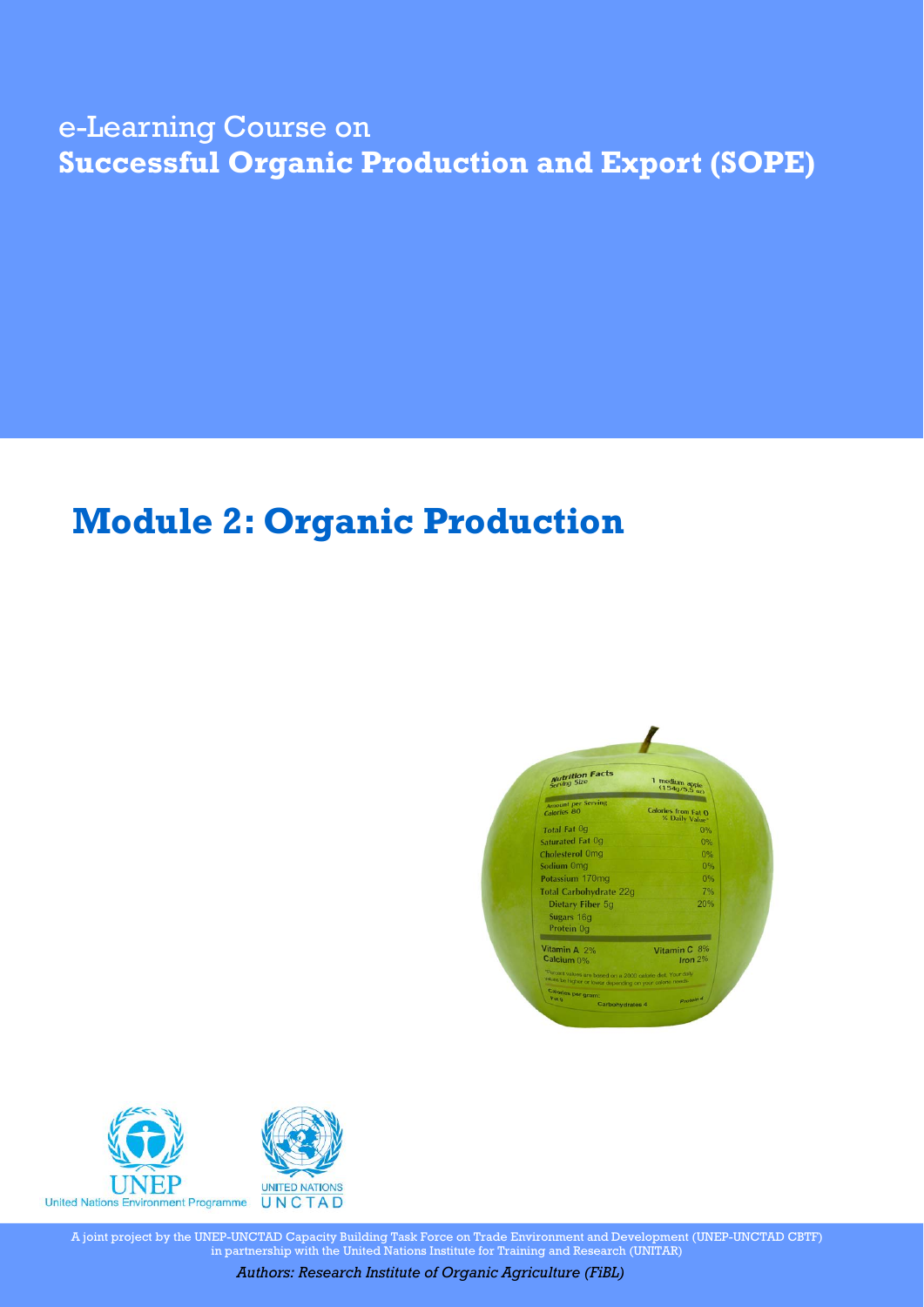## e-Learning Course on **Successful Organic Production and Export (SOPE)**

# **Module 2: Organic Production**





A joint project by the UNEP-UNCTAD Capacity Building Task Force on Trade Environment and Development (UNEP-UNCTAD CBTF) in partnership with the United Nations Institute for Training and Research (UNITAR)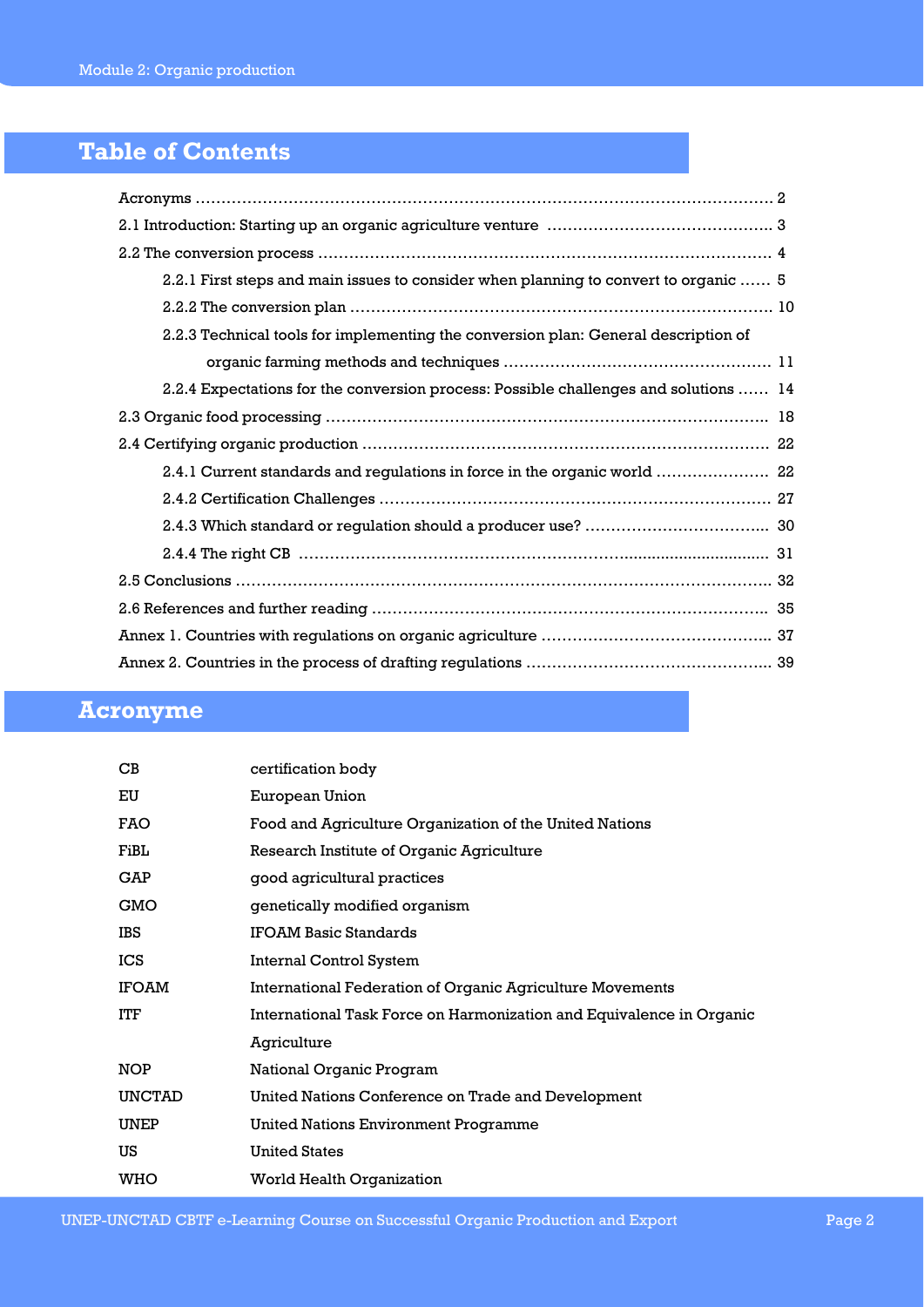## **Table of Contents**

| 2.2.1 First steps and main issues to consider when planning to convert to organic  5 |
|--------------------------------------------------------------------------------------|
|                                                                                      |
| 2.2.3 Technical tools for implementing the conversion plan: General description of   |
|                                                                                      |
| 2.2.4 Expectations for the conversion process: Possible challenges and solutions  14 |
|                                                                                      |
|                                                                                      |
| 2.4.1 Current standards and regulations in force in the organic world  22            |
|                                                                                      |
|                                                                                      |
|                                                                                      |
|                                                                                      |
|                                                                                      |
|                                                                                      |
|                                                                                      |

## **Acronyme**

| $\mathbf C\mathbf B$ | certification body                                                   |
|----------------------|----------------------------------------------------------------------|
| EU                   | European Union                                                       |
| FAO                  | Food and Agriculture Organization of the United Nations              |
| FiBL                 | Research Institute of Organic Agriculture                            |
| GAP                  | good agricultural practices                                          |
| GMO                  | genetically modified organism                                        |
| IBS                  | <b>IFOAM Basic Standards</b>                                         |
| ICS                  | Internal Control System                                              |
| IFOAM                | <b>International Federation of Organic Agriculture Movements</b>     |
| ITF                  | International Task Force on Harmonization and Equivalence in Organic |
|                      | Agriculture                                                          |
| NOP                  | National Organic Program                                             |
| UNCTAD               | United Nations Conference on Trade and Development                   |
| UNEP                 | <b>United Nations Environment Programme</b>                          |
| US                   | <b>United States</b>                                                 |
| WHO                  | <b>World Health Organization</b>                                     |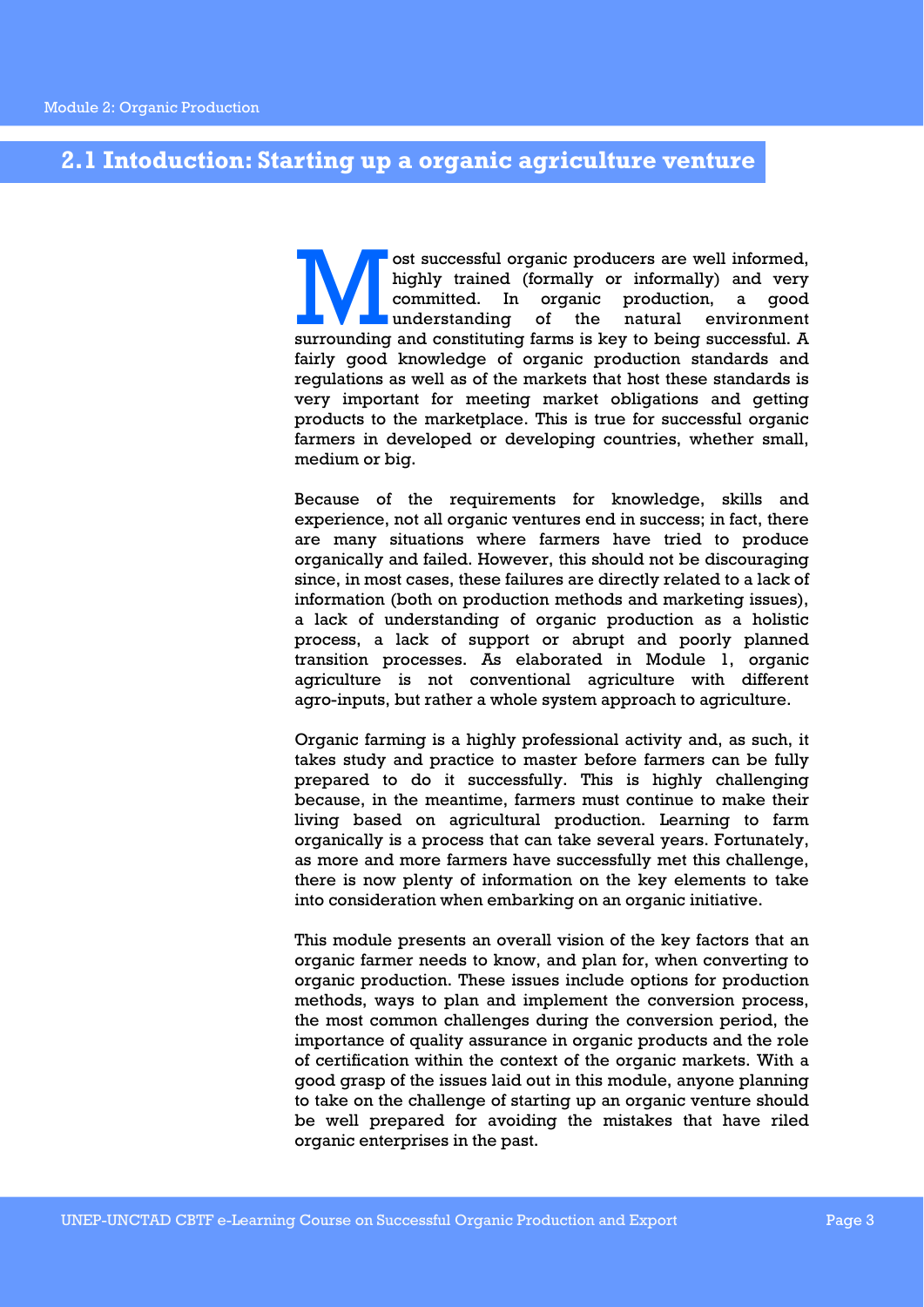### **2.1 Intoduction: Starting up a organic agriculture venture**

ost successful organic producers are well informed, highly trained (formally or informally) and very committed. In organic production, a good understanding of the natural environment surrounding and constituting farms is k highly trained (formally or informally) and very committed. In organic production, a good understanding of the natural environment fairly good knowledge of organic production standards and regulations as well as of the markets that host these standards is very important for meeting market obligations and getting products to the marketplace. This is true for successful organic farmers in developed or developing countries, whether small, medium or big.

Because of the requirements for knowledge, skills and experience, not all organic ventures end in success; in fact, there are many situations where farmers have tried to produce organically and failed. However, this should not be discouraging since, in most cases, these failures are directly related to a lack of information (both on production methods and marketing issues), a lack of understanding of organic production as a holistic process, a lack of support or abrupt and poorly planned transition processes. As elaborated in Module 1, organic agriculture is not conventional agriculture with different agro-inputs, but rather a whole system approach to agriculture.

Organic farming is a highly professional activity and, as such, it takes study and practice to master before farmers can be fully prepared to do it successfully. This is highly challenging because, in the meantime, farmers must continue to make their living based on agricultural production. Learning to farm organically is a process that can take several years. Fortunately, as more and more farmers have successfully met this challenge, there is now plenty of information on the key elements to take into consideration when embarking on an organic initiative.

This module presents an overall vision of the key factors that an organic farmer needs to know, and plan for, when converting to organic production. These issues include options for production methods, ways to plan and implement the conversion process, the most common challenges during the conversion period, the importance of quality assurance in organic products and the role of certification within the context of the organic markets. With a good grasp of the issues laid out in this module, anyone planning to take on the challenge of starting up an organic venture should be well prepared for avoiding the mistakes that have riled organic enterprises in the past.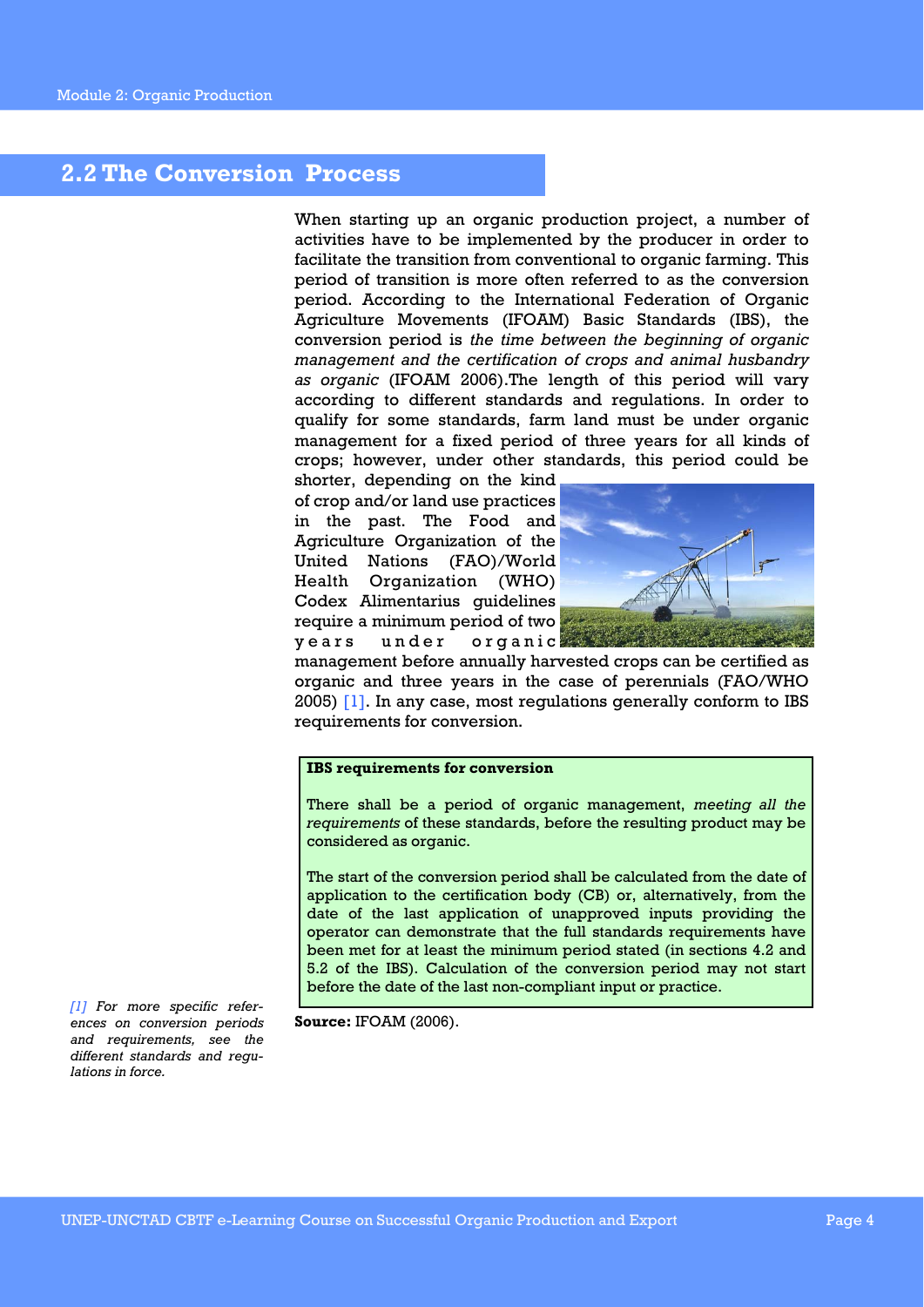### **2.2 The Conversion Process**

When starting up an organic production project, a number of activities have to be implemented by the producer in order to facilitate the transition from conventional to organic farming. This period of transition is more often referred to as the conversion period. According to the International Federation of Organic Agriculture Movements (IFOAM) Basic Standards (IBS), the conversion period is *the time between the beginning of organic management and the certification of crops and animal husbandry as organic* (IFOAM 2006).The length of this period will vary according to different standards and regulations. In order to qualify for some standards, farm land must be under organic management for a fixed period of three years for all kinds of crops; however, under other standards, this period could be

shorter, depending on the kind of crop and/or land use practices in the past. The Food and Agriculture Organization of the United Nations (FAO)/World Health Organization (WHO) Codex Alimentarius guidelines require a minimum period of two years under organic



management before annually harvested crops can be certified as organic and three years in the case of perennials (FAO/WHO 2005) [1]. In any case, most regulations generally conform to IBS requirements for conversion.

#### **IBS requirements for conversion**

There shall be a period of organic management, *meeting all the requirements* of these standards, before the resulting product may be considered as organic.

The start of the conversion period shall be calculated from the date of application to the certification body (CB) or, alternatively, from the date of the last application of unapproved inputs providing the operator can demonstrate that the full standards requirements have been met for at least the minimum period stated (in sections 4.2 and 5.2 of the IBS). Calculation of the conversion period may not start before the date of the last non-compliant input or practice.

*[1] For more specific references on conversion periods and requirements, see the different standards and regulations in force.* 

**Source:** IFOAM (2006).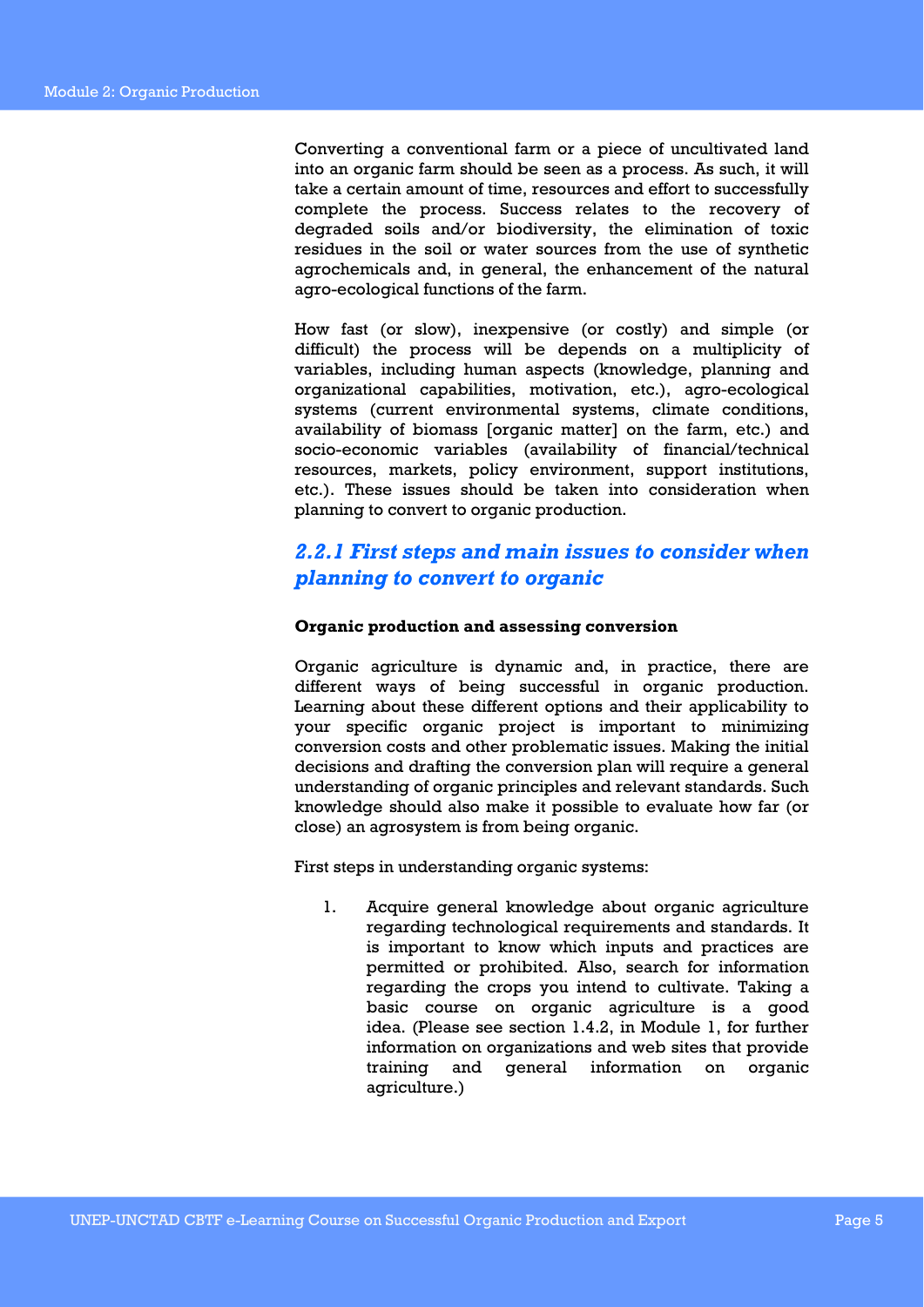Converting a conventional farm or a piece of uncultivated land into an organic farm should be seen as a process. As such, it will take a certain amount of time, resources and effort to successfully complete the process. Success relates to the recovery of degraded soils and/or biodiversity, the elimination of toxic residues in the soil or water sources from the use of synthetic agrochemicals and, in general, the enhancement of the natural agro-ecological functions of the farm.

How fast (or slow), inexpensive (or costly) and simple (or difficult) the process will be depends on a multiplicity of variables, including human aspects (knowledge, planning and organizational capabilities, motivation, etc.), agro-ecological systems (current environmental systems, climate conditions, availability of biomass [organic matter] on the farm, etc.) and socio-economic variables (availability of financial/technical resources, markets, policy environment, support institutions, etc.). These issues should be taken into consideration when planning to convert to organic production.

### *2.2.1 First steps and main issues to consider when planning to convert to organic*

### **Organic production and assessing conversion**

Organic agriculture is dynamic and, in practice, there are different ways of being successful in organic production. Learning about these different options and their applicability to your specific organic project is important to minimizing conversion costs and other problematic issues. Making the initial decisions and drafting the conversion plan will require a general understanding of organic principles and relevant standards. Such knowledge should also make it possible to evaluate how far (or close) an agrosystem is from being organic.

First steps in understanding organic systems:

1. Acquire general knowledge about organic agriculture regarding technological requirements and standards. It is important to know which inputs and practices are permitted or prohibited. Also, search for information regarding the crops you intend to cultivate. Taking a basic course on organic agriculture is a good idea. (Please see section 1.4.2, in Module 1, for further information on organizations and web sites that provide training and general information on organic agriculture.)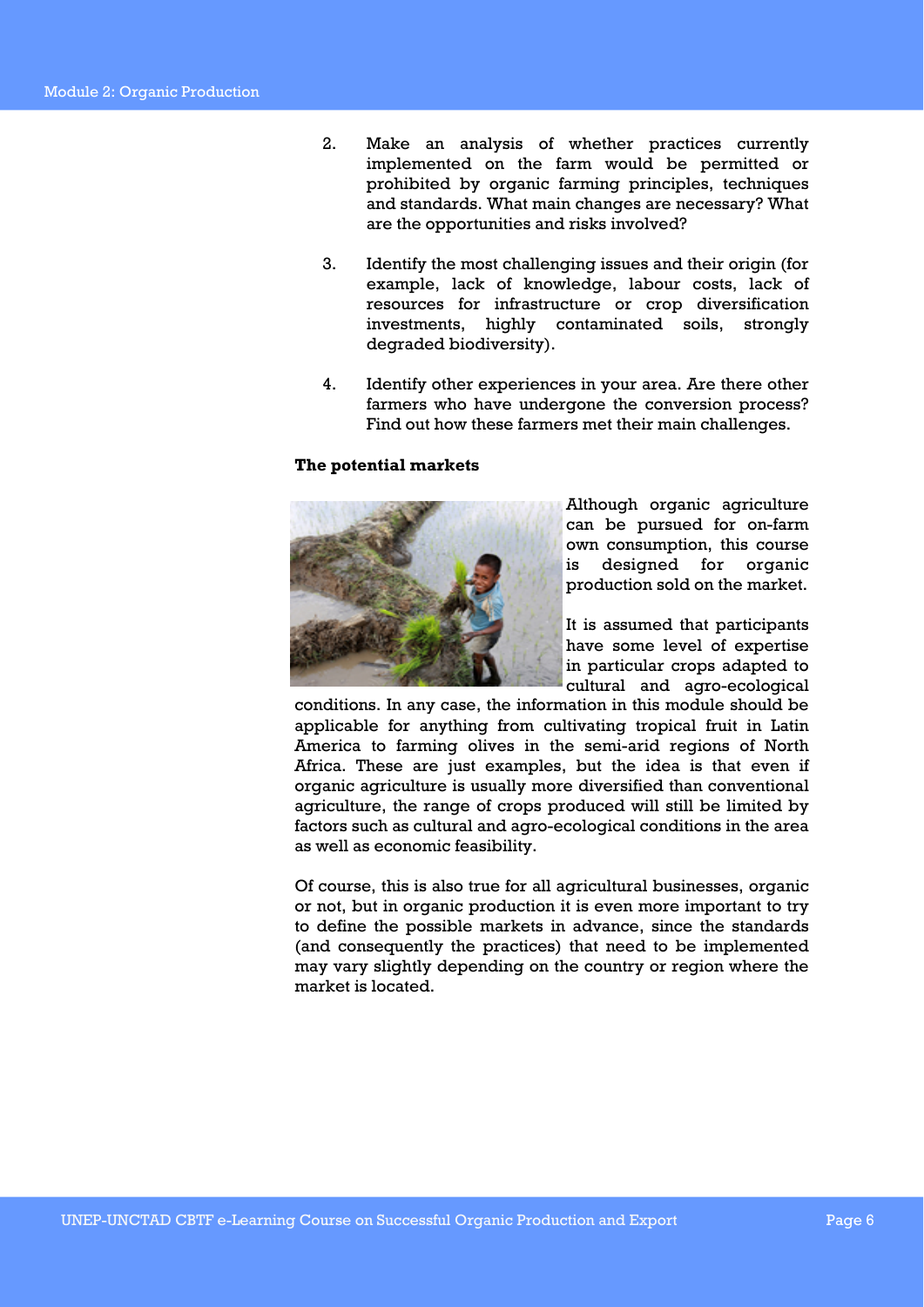- 2. Make an analysis of whether practices currently implemented on the farm would be permitted or prohibited by organic farming principles, techniques and standards. What main changes are necessary? What are the opportunities and risks involved?
- 3. Identify the most challenging issues and their origin (for example, lack of knowledge, labour costs, lack of resources for infrastructure or crop diversification investments, highly contaminated soils, strongly degraded biodiversity).
- 4. Identify other experiences in your area. Are there other farmers who have undergone the conversion process? Find out how these farmers met their main challenges.

### **The potential markets**



Although organic agriculture can be pursued for on-farm own consumption, this course is designed for organic production sold on the market.

It is assumed that participants have some level of expertise in particular crops adapted to cultural and agro-ecological

conditions. In any case, the information in this module should be applicable for anything from cultivating tropical fruit in Latin America to farming olives in the semi-arid regions of North Africa. These are just examples, but the idea is that even if organic agriculture is usually more diversified than conventional agriculture, the range of crops produced will still be limited by factors such as cultural and agro-ecological conditions in the area as well as economic feasibility.

Of course, this is also true for all agricultural businesses, organic or not, but in organic production it is even more important to try to define the possible markets in advance, since the standards (and consequently the practices) that need to be implemented may vary slightly depending on the country or region where the market is located.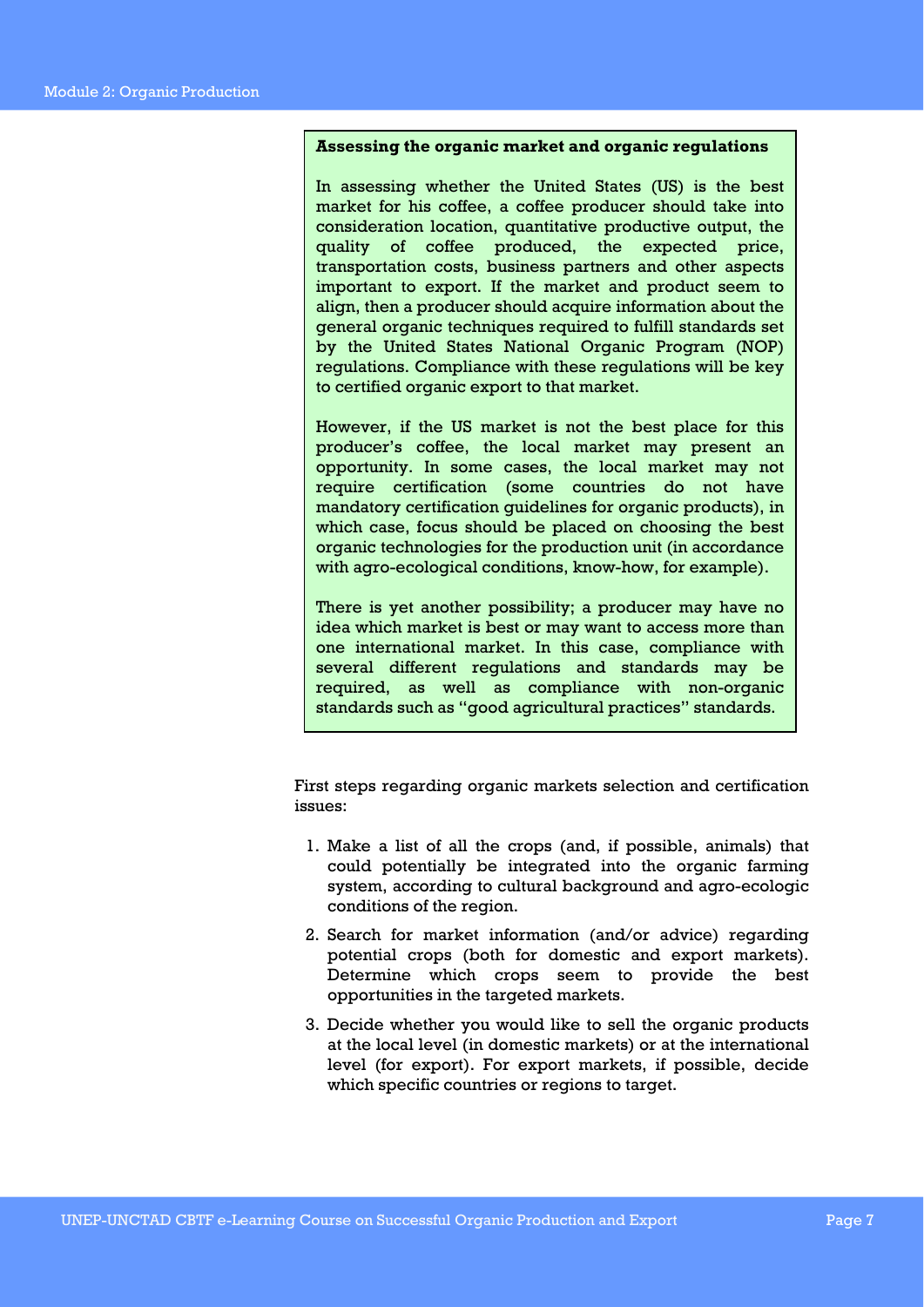### **Assessing the organic market and organic regulations**

In assessing whether the United States (US) is the best market for his coffee, a coffee producer should take into consideration location, quantitative productive output, the quality of coffee produced, the expected price, transportation costs, business partners and other aspects important to export. If the market and product seem to align, then a producer should acquire information about the general organic techniques required to fulfill standards set by the United States National Organic Program (NOP) regulations. Compliance with these regulations will be key to certified organic export to that market.

However, if the US market is not the best place for this producer's coffee, the local market may present an opportunity. In some cases, the local market may not require certification (some countries do not have mandatory certification guidelines for organic products), in which case, focus should be placed on choosing the best organic technologies for the production unit (in accordance with agro-ecological conditions, know-how, for example).

There is yet another possibility; a producer may have no idea which market is best or may want to access more than one international market. In this case, compliance with several different regulations and standards may be required, as well as compliance with non-organic standards such as "good agricultural practices" standards.

First steps regarding organic markets selection and certification issues:

- 1. Make a list of all the crops (and, if possible, animals) that could potentially be integrated into the organic farming system, according to cultural background and agro-ecologic conditions of the region.
- 2. Search for market information (and/or advice) regarding potential crops (both for domestic and export markets). Determine which crops seem to provide the best opportunities in the targeted markets.
- 3. Decide whether you would like to sell the organic products at the local level (in domestic markets) or at the international level (for export). For export markets, if possible, decide which specific countries or regions to target.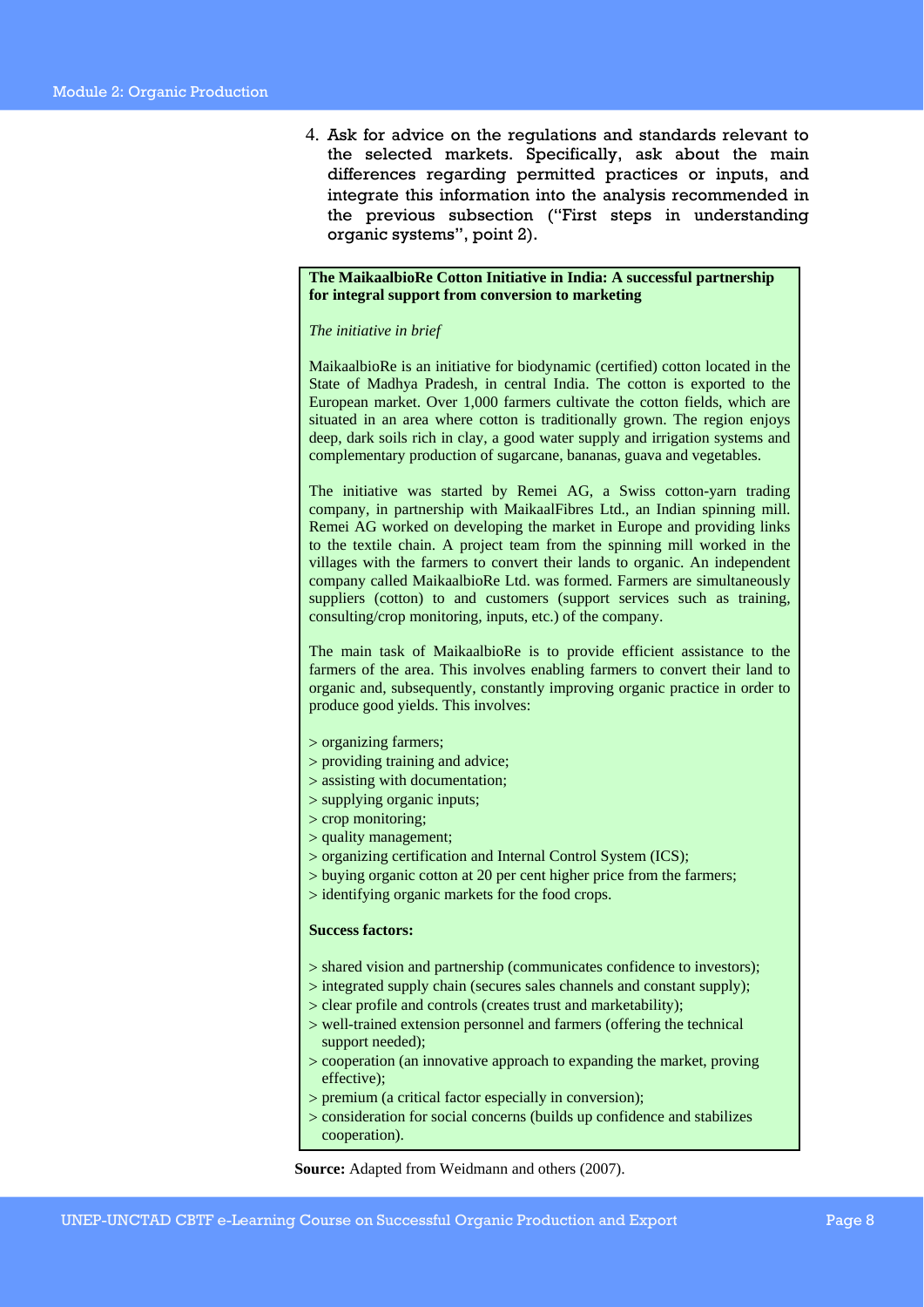4. Ask for advice on the regulations and standards relevant to the selected markets. Specifically, ask about the main differences regarding permitted practices or inputs, and integrate this information into the analysis recommended in the previous subsection ("First steps in understanding organic systems", point 2).

### **The MaikaalbioRe Cotton Initiative in India: A successful partnership for integral support from conversion to marketing**

#### *The initiative in brief*

MaikaalbioRe is an initiative for biodynamic (certified) cotton located in the State of Madhya Pradesh, in central India. The cotton is exported to the European market. Over 1,000 farmers cultivate the cotton fields, which are situated in an area where cotton is traditionally grown. The region enjoys deep, dark soils rich in clay, a good water supply and irrigation systems and complementary production of sugarcane, bananas, guava and vegetables.

The initiative was started by Remei AG, a Swiss cotton-yarn trading company, in partnership with MaikaalFibres Ltd., an Indian spinning mill. Remei AG worked on developing the market in Europe and providing links to the textile chain. A project team from the spinning mill worked in the villages with the farmers to convert their lands to organic. An independent company called MaikaalbioRe Ltd. was formed. Farmers are simultaneously suppliers (cotton) to and customers (support services such as training, consulting/crop monitoring, inputs, etc.) of the company.

The main task of MaikaalbioRe is to provide efficient assistance to the farmers of the area. This involves enabling farmers to convert their land to organic and, subsequently, constantly improving organic practice in order to produce good yields. This involves:

- > organizing farmers;
- > providing training and advice;
- > assisting with documentation;
- > supplying organic inputs;
- > crop monitoring;
- > quality management;
- > organizing certification and Internal Control System (ICS);
- > buying organic cotton at 20 per cent higher price from the farmers;
- > identifying organic markets for the food crops.

#### **Success factors:**

- > shared vision and partnership (communicates confidence to investors);
- > integrated supply chain (secures sales channels and constant supply);
- > clear profile and controls (creates trust and marketability);
- > well-trained extension personnel and farmers (offering the technical support needed);
- > cooperation (an innovative approach to expanding the market, proving effective);
- > premium (a critical factor especially in conversion);
- > consideration for social concerns (builds up confidence and stabilizes cooperation).

**Source:** Adapted from Weidmann and others (2007).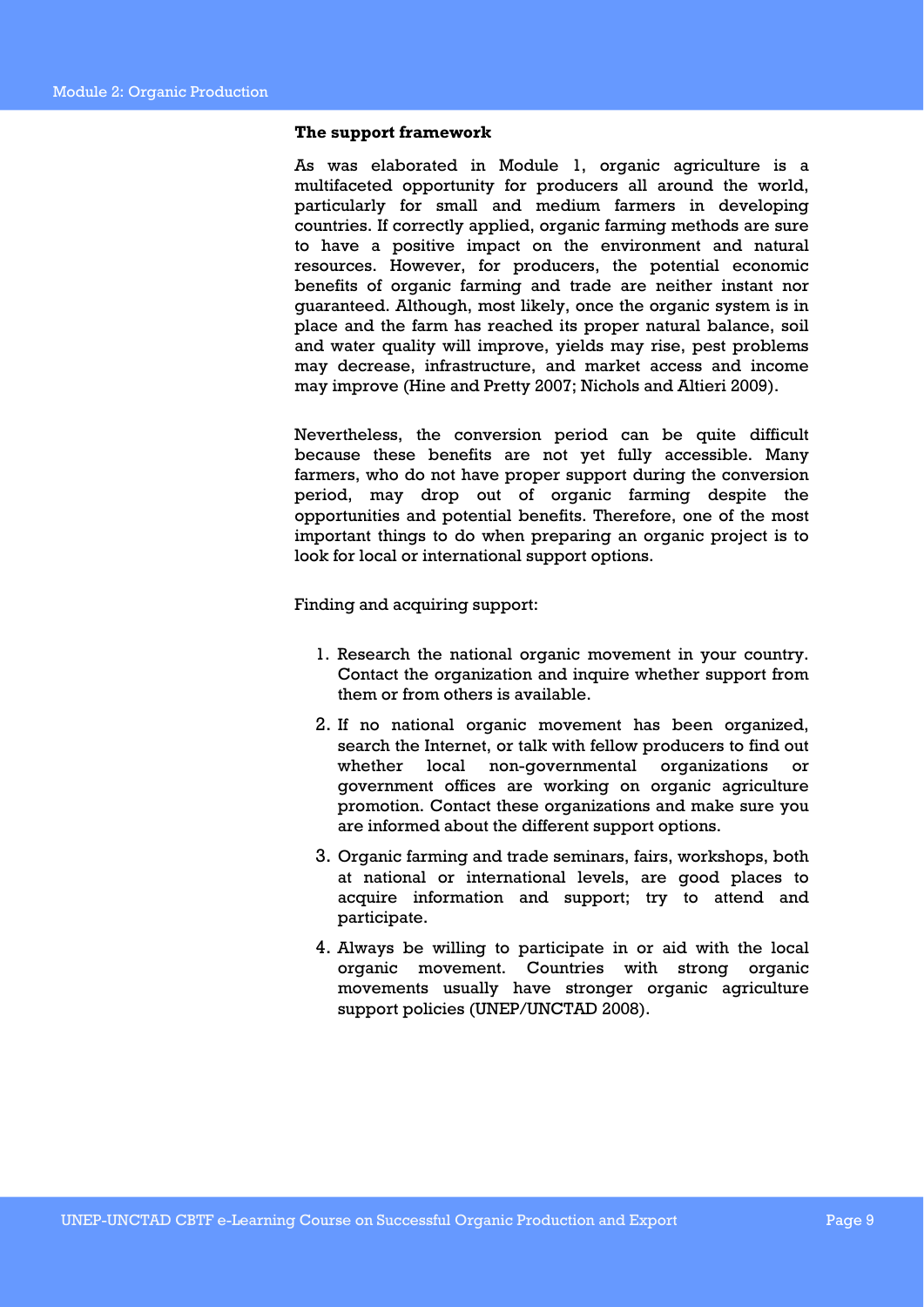#### **The support framework**

As was elaborated in Module 1, organic agriculture is a multifaceted opportunity for producers all around the world, particularly for small and medium farmers in developing countries. If correctly applied, organic farming methods are sure to have a positive impact on the environment and natural resources. However, for producers, the potential economic benefits of organic farming and trade are neither instant nor guaranteed. Although, most likely, once the organic system is in place and the farm has reached its proper natural balance, soil and water quality will improve, yields may rise, pest problems may decrease, infrastructure, and market access and income may improve (Hine and Pretty 2007; Nichols and Altieri 2009).

Nevertheless, the conversion period can be quite difficult because these benefits are not yet fully accessible. Many farmers, who do not have proper support during the conversion period, may drop out of organic farming despite the opportunities and potential benefits. Therefore, one of the most important things to do when preparing an organic project is to look for local or international support options.

Finding and acquiring support:

- 1. Research the national organic movement in your country. Contact the organization and inquire whether support from them or from others is available.
- 2. If no national organic movement has been organized, search the Internet, or talk with fellow producers to find out whether local non-governmental organizations or government offices are working on organic agriculture promotion. Contact these organizations and make sure you are informed about the different support options.
- 3. Organic farming and trade seminars, fairs, workshops, both at national or international levels, are good places to acquire information and support; try to attend and participate.
- 4. Always be willing to participate in or aid with the local organic movement. Countries with strong organic movements usually have stronger organic agriculture support policies (UNEP/UNCTAD 2008).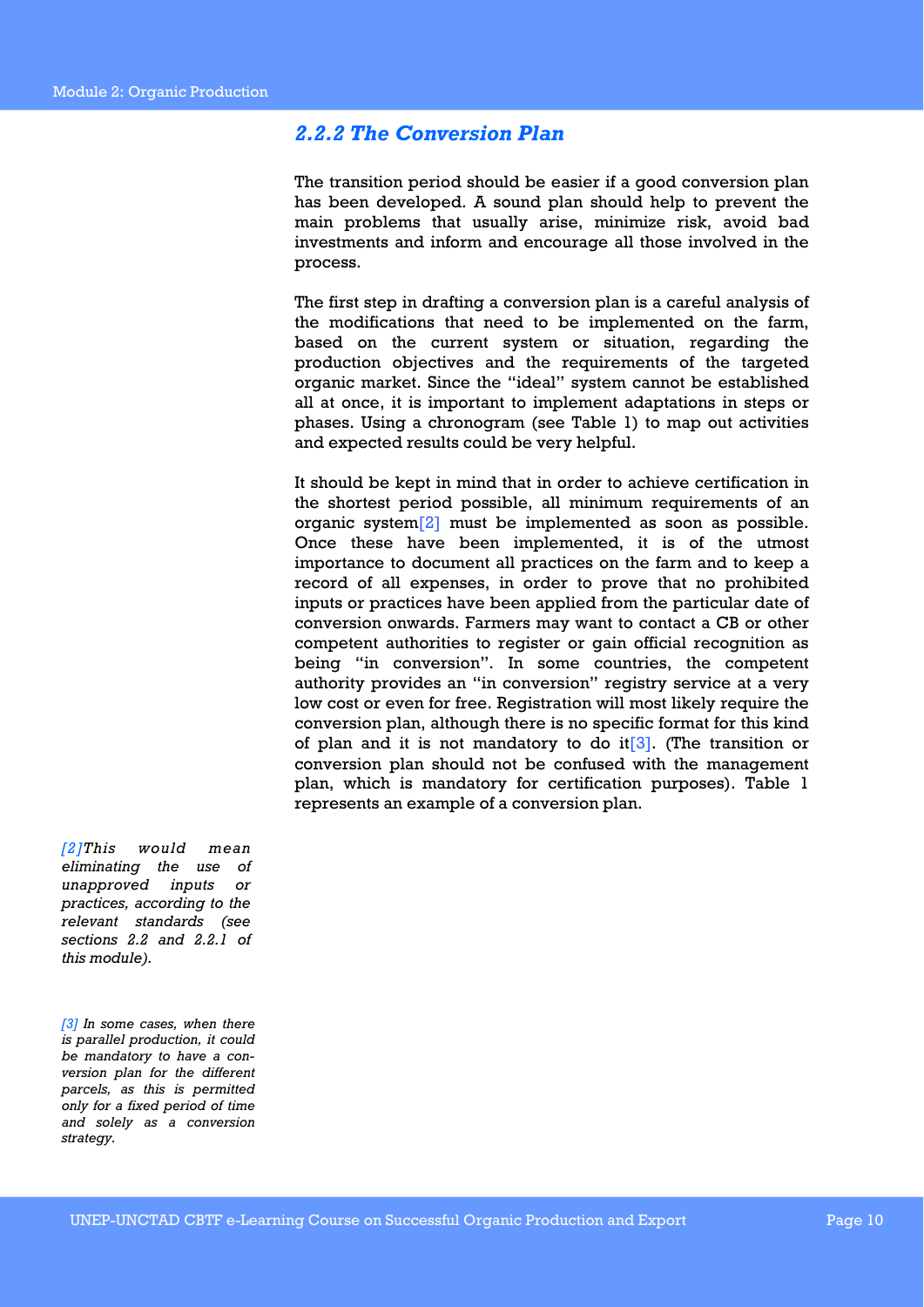### *2.2.2 The Conversion Plan*

The transition period should be easier if a good conversion plan has been developed. A sound plan should help to prevent the main problems that usually arise, minimize risk, avoid bad investments and inform and encourage all those involved in the process.

The first step in drafting a conversion plan is a careful analysis of the modifications that need to be implemented on the farm, based on the current system or situation, regarding the production objectives and the requirements of the targeted organic market. Since the "ideal" system cannot be established all at once, it is important to implement adaptations in steps or phases. Using a chronogram (see Table 1) to map out activities and expected results could be very helpful.

It should be kept in mind that in order to achieve certification in the shortest period possible, all minimum requirements of an organic system[2] must be implemented as soon as possible. Once these have been implemented, it is of the utmost importance to document all practices on the farm and to keep a record of all expenses, in order to prove that no prohibited inputs or practices have been applied from the particular date of conversion onwards. Farmers may want to contact a CB or other competent authorities to register or gain official recognition as being "in conversion". In some countries, the competent authority provides an "in conversion" registry service at a very low cost or even for free. Registration will most likely require the conversion plan, although there is no specific format for this kind of plan and it is not mandatory to do it  $[3]$ . (The transition or conversion plan should not be confused with the management plan, which is mandatory for certification purposes). Table 1 represents an example of a conversion plan.

*[2]This would mean eliminating the use of unapproved inputs or practices, according to the relevant standards (see sections 2.2 and 2.2.1 of this module).* 

*[3] In some cases, when there is parallel production, it could be mandatory to have a conversion plan for the different parcels, as this is permitted only for a fixed period of time and solely as a conversion strategy.*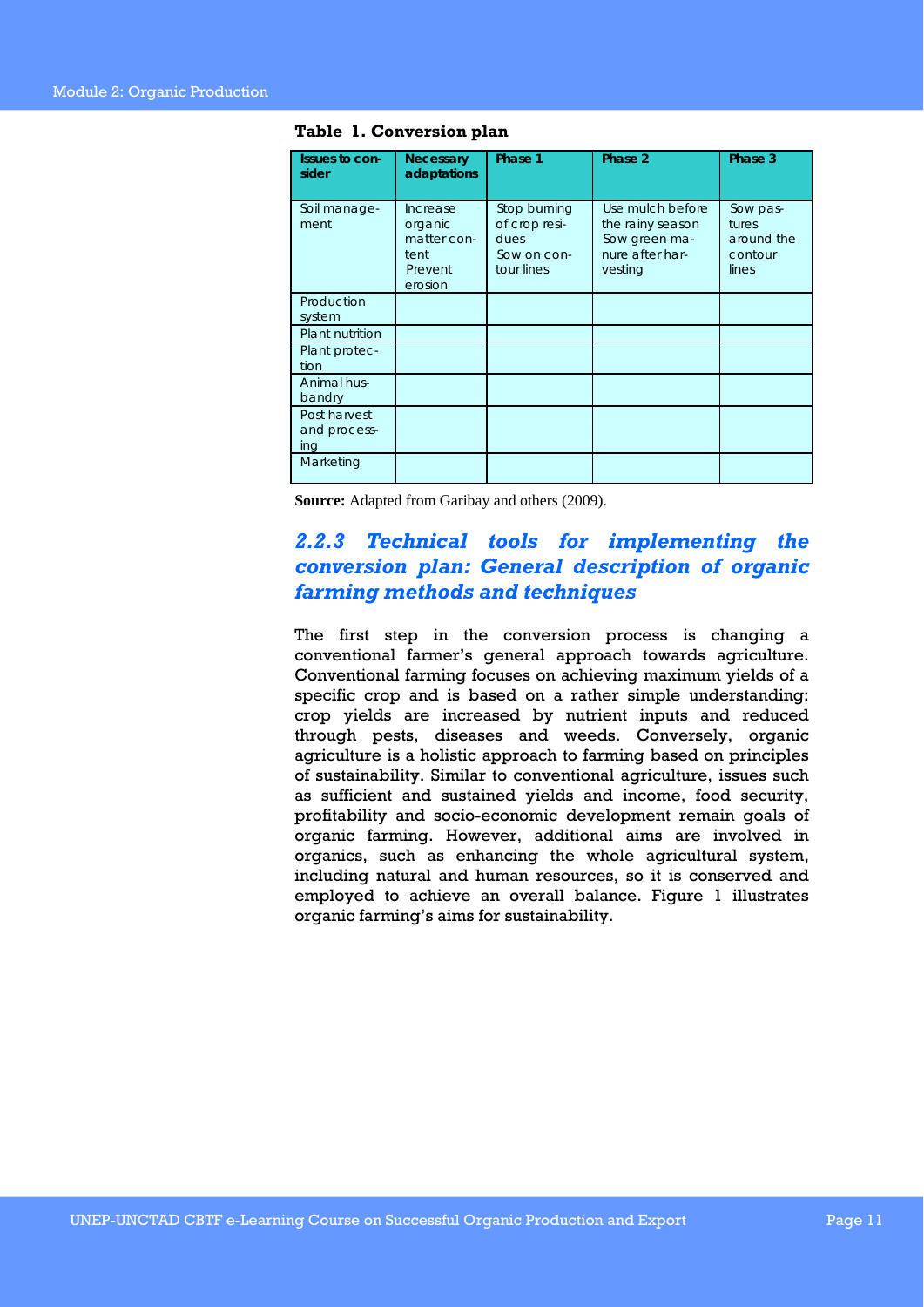| Issues to con-<br>sider             | <b>Necessary</b><br>adaptations                                  | Phase 1                                                            | Phase 2                                                                             | Phase 3                                             |
|-------------------------------------|------------------------------------------------------------------|--------------------------------------------------------------------|-------------------------------------------------------------------------------------|-----------------------------------------------------|
| Soil manage-<br>ment                | Increase<br>organic<br>matter con-<br>tent<br>Prevent<br>erosion | Stop burning<br>of crop resi-<br>dues<br>Sow on con-<br>tour lines | Use mulch before<br>the rainy season<br>Sow green ma-<br>nure after har-<br>vesting | Sow pas-<br>tures<br>around the<br>contour<br>lines |
| Production<br>system                |                                                                  |                                                                    |                                                                                     |                                                     |
| Plant nutrition                     |                                                                  |                                                                    |                                                                                     |                                                     |
| Plant protec-<br>tion               |                                                                  |                                                                    |                                                                                     |                                                     |
| Animal hus-<br>bandry               |                                                                  |                                                                    |                                                                                     |                                                     |
| Post harvest<br>and process-<br>ing |                                                                  |                                                                    |                                                                                     |                                                     |
| Marketing                           |                                                                  |                                                                    |                                                                                     |                                                     |

**Table 1. Conversion plan** 

**Source:** Adapted from Garibay and others (2009).

### *2.2.3 Technical tools for implementing the conversion plan: General description of organic farming methods and techniques*

The first step in the conversion process is changing a conventional farmer's general approach towards agriculture. Conventional farming focuses on achieving maximum yields of a specific crop and is based on a rather simple understanding: crop yields are increased by nutrient inputs and reduced through pests, diseases and weeds. Conversely, organic agriculture is a holistic approach to farming based on principles of sustainability. Similar to conventional agriculture, issues such as sufficient and sustained yields and income, food security, profitability and socio-economic development remain goals of organic farming. However, additional aims are involved in organics, such as enhancing the whole agricultural system, including natural and human resources, so it is conserved and employed to achieve an overall balance. Figure 1 illustrates organic farming's aims for sustainability.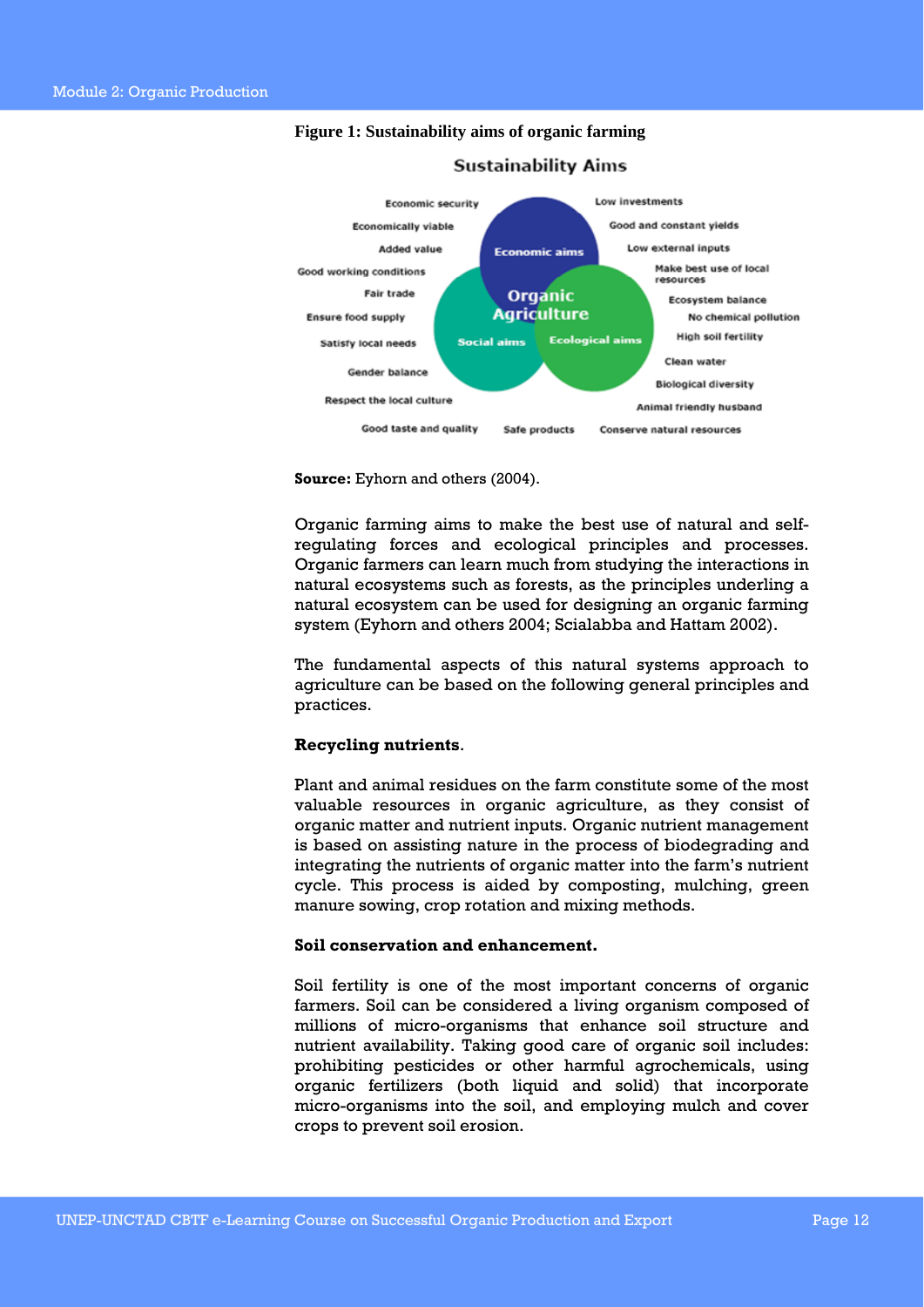

### **Figure 1: Sustainability aims of organic farming**

**Source:** Eyhorn and others (2004).

Organic farming aims to make the best use of natural and selfregulating forces and ecological principles and processes. Organic farmers can learn much from studying the interactions in natural ecosystems such as forests, as the principles underling a natural ecosystem can be used for designing an organic farming system (Eyhorn and others 2004; Scialabba and Hattam 2002).

The fundamental aspects of this natural systems approach to agriculture can be based on the following general principles and practices.

### **Recycling nutrients**.

Plant and animal residues on the farm constitute some of the most valuable resources in organic agriculture, as they consist of organic matter and nutrient inputs. Organic nutrient management is based on assisting nature in the process of biodegrading and integrating the nutrients of organic matter into the farm's nutrient cycle. This process is aided by composting, mulching, green manure sowing, crop rotation and mixing methods.

### **Soil conservation and enhancement.**

Soil fertility is one of the most important concerns of organic farmers. Soil can be considered a living organism composed of millions of micro-organisms that enhance soil structure and nutrient availability. Taking good care of organic soil includes: prohibiting pesticides or other harmful agrochemicals, using organic fertilizers (both liquid and solid) that incorporate micro-organisms into the soil, and employing mulch and cover crops to prevent soil erosion.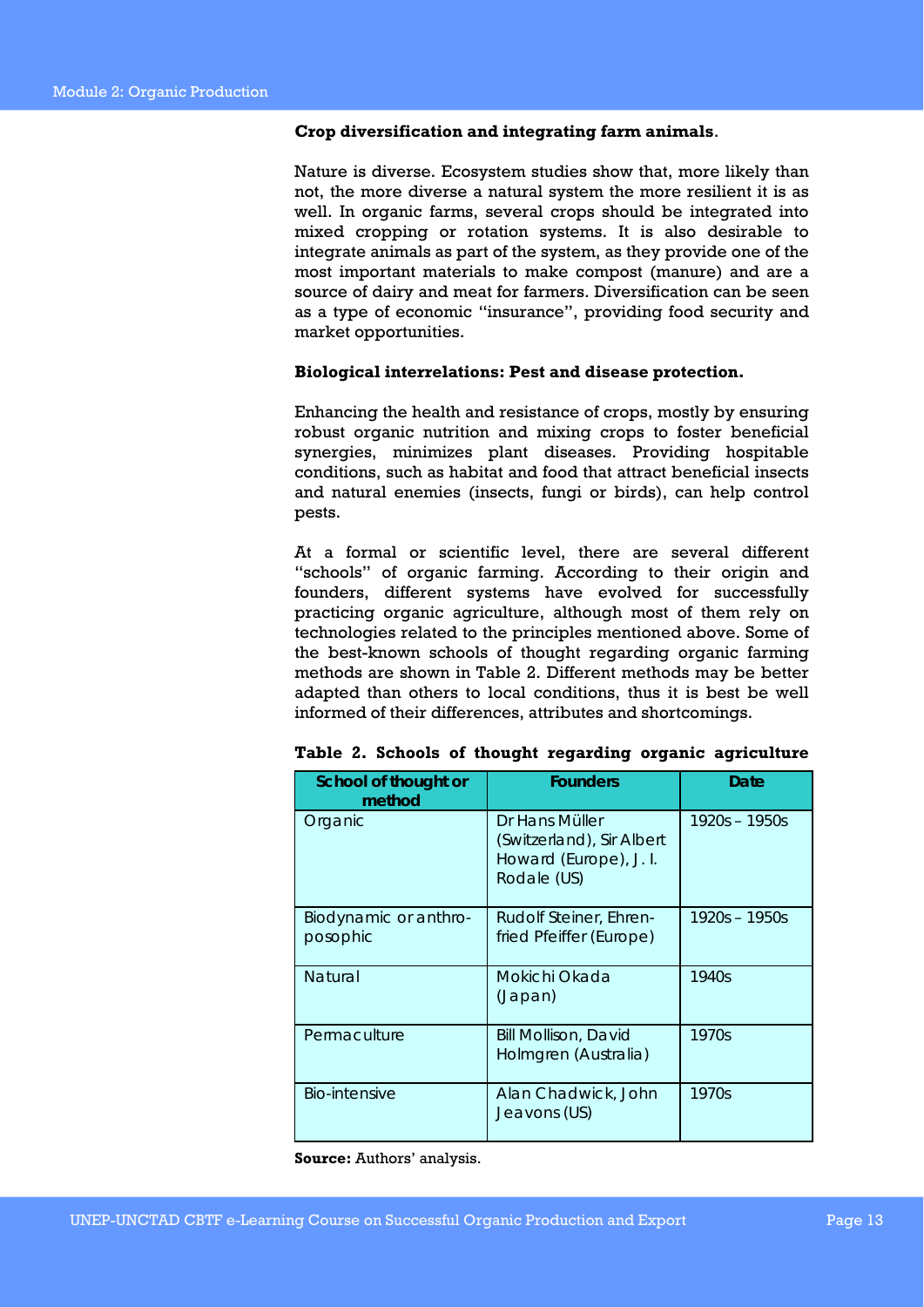### **Crop diversification and integrating farm animals**.

Nature is diverse. Ecosystem studies show that, more likely than not, the more diverse a natural system the more resilient it is as well. In organic farms, several crops should be integrated into mixed cropping or rotation systems. It is also desirable to integrate animals as part of the system, as they provide one of the most important materials to make compost (manure) and are a source of dairy and meat for farmers. Diversification can be seen as a type of economic "insurance", providing food security and market opportunities.

### **Biological interrelations: Pest and disease protection.**

Enhancing the health and resistance of crops, mostly by ensuring robust organic nutrition and mixing crops to foster beneficial synergies, minimizes plant diseases. Providing hospitable conditions, such as habitat and food that attract beneficial insects and natural enemies (insects, fungi or birds), can help control pests.

At a formal or scientific level, there are several different "schools" of organic farming. According to their origin and founders, different systems have evolved for successfully practicing organic agriculture, although most of them rely on technologies related to the principles mentioned above. Some of the best-known schools of thought regarding organic farming methods are shown in Table 2. Different methods may be better adapted than others to local conditions, thus it is best be well informed of their differences, attributes and shortcomings.

| School of thought or<br>method    | <b>Founders</b>                                                                      | Date          |
|-----------------------------------|--------------------------------------------------------------------------------------|---------------|
| Organic                           | Dr Hans Müller<br>(Switzerland), Sir Albert<br>Howard (Europe), J. I.<br>Rodale (US) | 1920s - 1950s |
| Biodynamic or anthro-<br>posophic | Rudolf Steiner, Ehren-<br>fried Pfeiffer (Europe)                                    | 1920s - 1950s |
| <b>Natural</b>                    | Mokichi Okada<br>(Japan)                                                             | 1940s         |
| Permaculture                      | <b>Bill Mollison, David</b><br>Holmgren (Australia)                                  | 1970s         |
| Bio-intensive                     | Alan Chadwick, John<br>Jeavons (US)                                                  | 1970s         |

**Table 2. Schools of thought regarding organic agriculture** 

**Source:** Authors' analysis.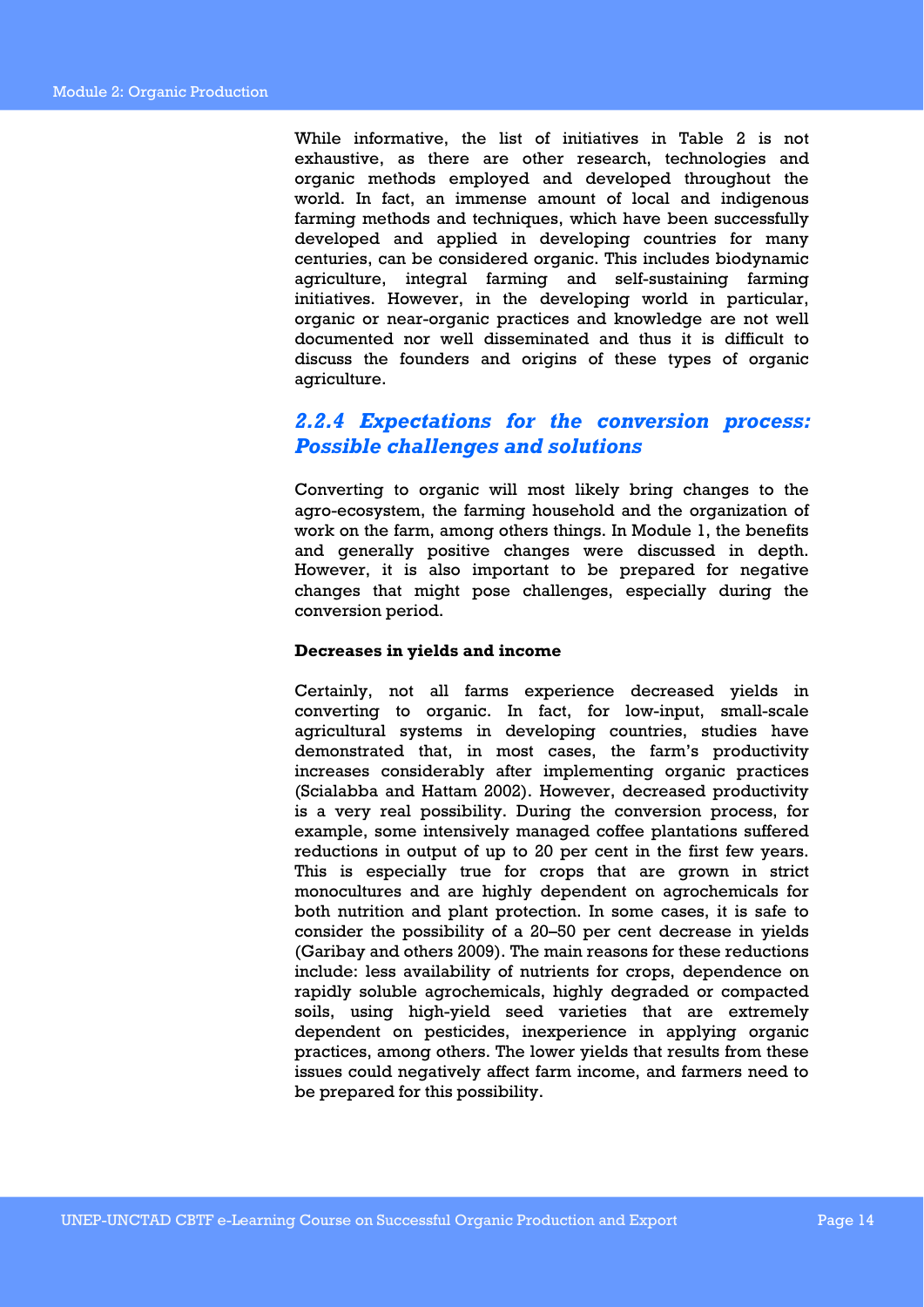While informative, the list of initiatives in Table 2 is not exhaustive, as there are other research, technologies and organic methods employed and developed throughout the world. In fact, an immense amount of local and indigenous farming methods and techniques, which have been successfully developed and applied in developing countries for many centuries, can be considered organic. This includes biodynamic agriculture, integral farming and self-sustaining farming initiatives. However, in the developing world in particular, organic or near-organic practices and knowledge are not well documented nor well disseminated and thus it is difficult to discuss the founders and origins of these types of organic agriculture.

### *2.2.4 Expectations for the conversion process: Possible challenges and solutions*

Converting to organic will most likely bring changes to the agro-ecosystem, the farming household and the organization of work on the farm, among others things. In Module 1, the benefits and generally positive changes were discussed in depth. However, it is also important to be prepared for negative changes that might pose challenges, especially during the conversion period.

### **Decreases in yields and income**

Certainly, not all farms experience decreased yields in converting to organic. In fact, for low-input, small-scale agricultural systems in developing countries, studies have demonstrated that, in most cases, the farm's productivity increases considerably after implementing organic practices (Scialabba and Hattam 2002). However, decreased productivity is a very real possibility. During the conversion process, for example, some intensively managed coffee plantations suffered reductions in output of up to 20 per cent in the first few years. This is especially true for crops that are grown in strict monocultures and are highly dependent on agrochemicals for both nutrition and plant protection. In some cases, it is safe to consider the possibility of a 20–50 per cent decrease in yields (Garibay and others 2009). The main reasons for these reductions include: less availability of nutrients for crops, dependence on rapidly soluble agrochemicals, highly degraded or compacted soils, using high-yield seed varieties that are extremely dependent on pesticides, inexperience in applying organic practices, among others. The lower yields that results from these issues could negatively affect farm income, and farmers need to be prepared for this possibility.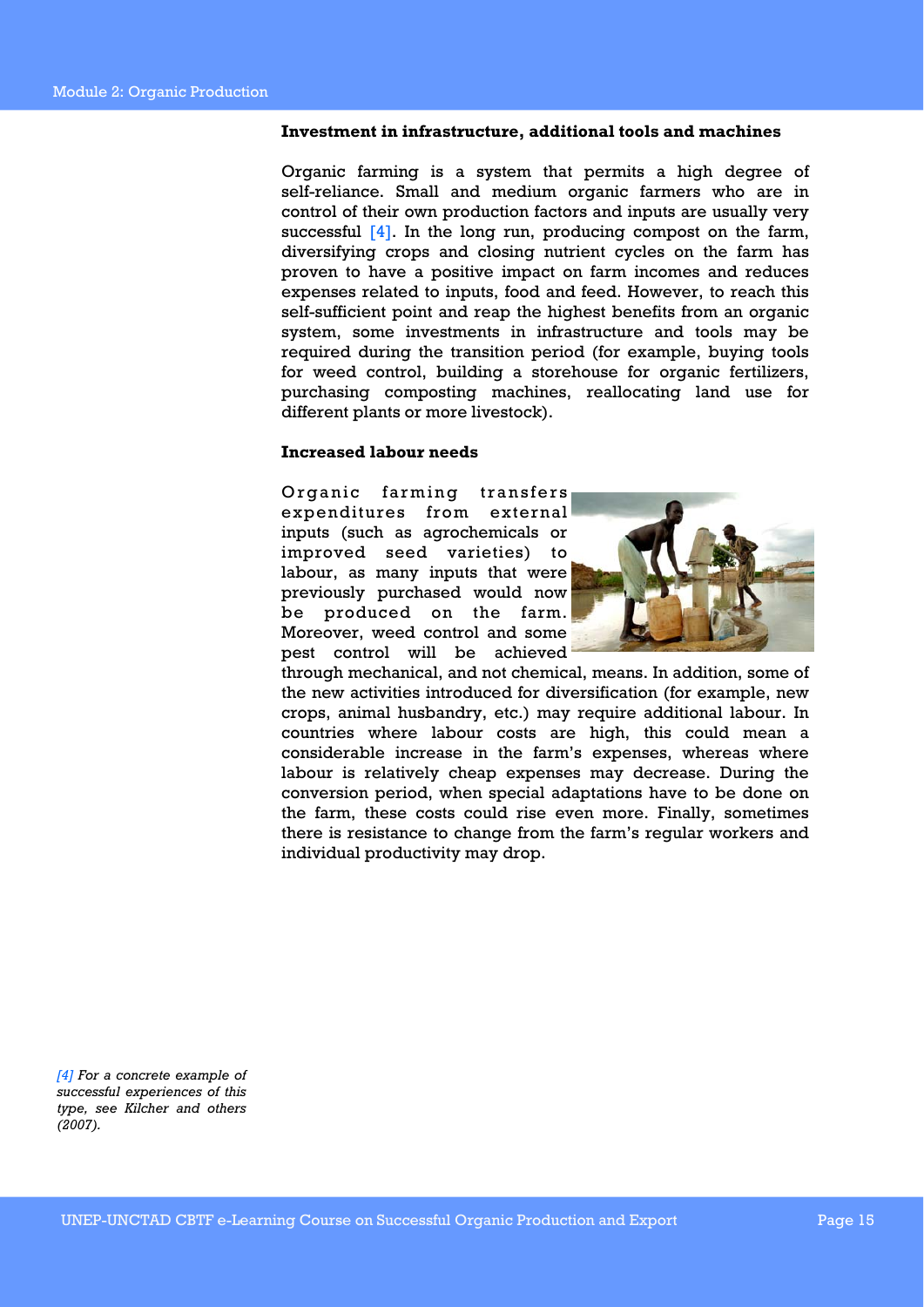### **Investment in infrastructure, additional tools and machines**

Organic farming is a system that permits a high degree of self-reliance. Small and medium organic farmers who are in control of their own production factors and inputs are usually very successful  $[4]$ . In the long run, producing compost on the farm, diversifying crops and closing nutrient cycles on the farm has proven to have a positive impact on farm incomes and reduces expenses related to inputs, food and feed. However, to reach this self-sufficient point and reap the highest benefits from an organic system, some investments in infrastructure and tools may be required during the transition period (for example, buying tools for weed control, building a storehouse for organic fertilizers, purchasing composting machines, reallocating land use for different plants or more livestock).

### **Increased labour needs**

Organic farming transfers expenditures from external inputs (such as agrochemicals or improved seed varieties) to labour, as many inputs that were previously purchased would now be produced on the farm. Moreover, weed control and some pest control will be achieved



through mechanical, and not chemical, means. In addition, some of the new activities introduced for diversification (for example, new crops, animal husbandry, etc.) may require additional labour. In countries where labour costs are high, this could mean a considerable increase in the farm's expenses, whereas where labour is relatively cheap expenses may decrease. During the conversion period, when special adaptations have to be done on the farm, these costs could rise even more. Finally, sometimes there is resistance to change from the farm's regular workers and individual productivity may drop.

*[4] For a concrete example of successful experiences of this type, see Kilcher and others (2007).*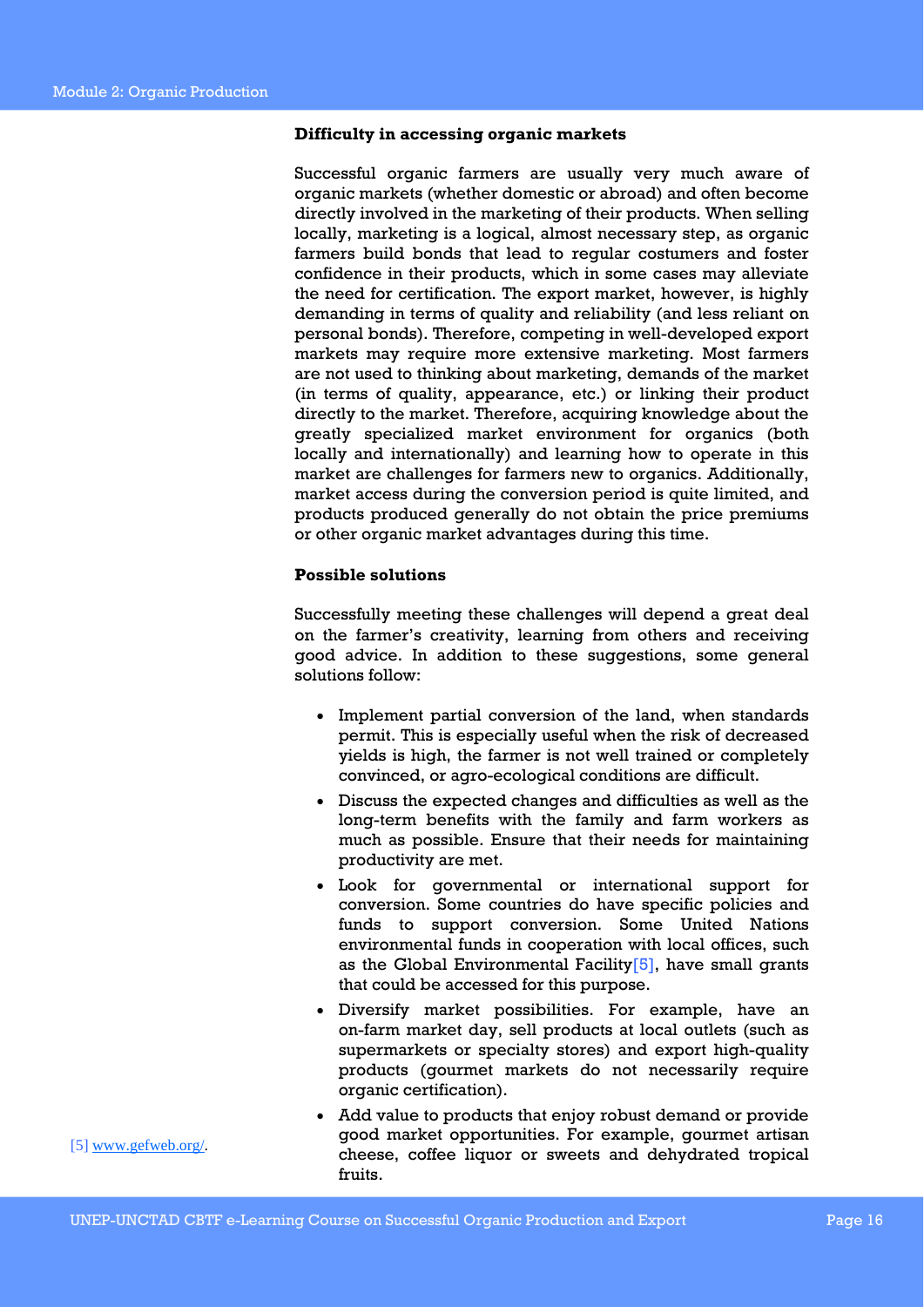### **Difficulty in accessing organic markets**

Successful organic farmers are usually very much aware of organic markets (whether domestic or abroad) and often become directly involved in the marketing of their products. When selling locally, marketing is a logical, almost necessary step, as organic farmers build bonds that lead to regular costumers and foster confidence in their products, which in some cases may alleviate the need for certification. The export market, however, is highly demanding in terms of quality and reliability (and less reliant on personal bonds). Therefore, competing in well-developed export markets may require more extensive marketing. Most farmers are not used to thinking about marketing, demands of the market (in terms of quality, appearance, etc.) or linking their product directly to the market. Therefore, acquiring knowledge about the greatly specialized market environment for organics (both locally and internationally) and learning how to operate in this market are challenges for farmers new to organics. Additionally, market access during the conversion period is quite limited, and products produced generally do not obtain the price premiums or other organic market advantages during this time.

### **Possible solutions**

Successfully meeting these challenges will depend a great deal on the farmer's creativity, learning from others and receiving good advice. In addition to these suggestions, some general solutions follow:

- Implement partial conversion of the land, when standards permit. This is especially useful when the risk of decreased yields is high, the farmer is not well trained or completely convinced, or agro-ecological conditions are difficult.
- Discuss the expected changes and difficulties as well as the long-term benefits with the family and farm workers as much as possible. Ensure that their needs for maintaining productivity are met.
- Look for governmental or international support for conversion. Some countries do have specific policies and funds to support conversion. Some United Nations environmental funds in cooperation with local offices, such as the Global Environmental Facility $[5]$ , have small grants that could be accessed for this purpose.
- Diversify market possibilities. For example, have an on-farm market day, sell products at local outlets (such as supermarkets or specialty stores) and export high-quality products (gourmet markets do not necessarily require organic certification).
- Add value to products that enjoy robust demand or provide good market opportunities. For example, gourmet artisan cheese, coffee liquor or sweets and dehydrated tropical fruits.

[5] www.gefweb.org/.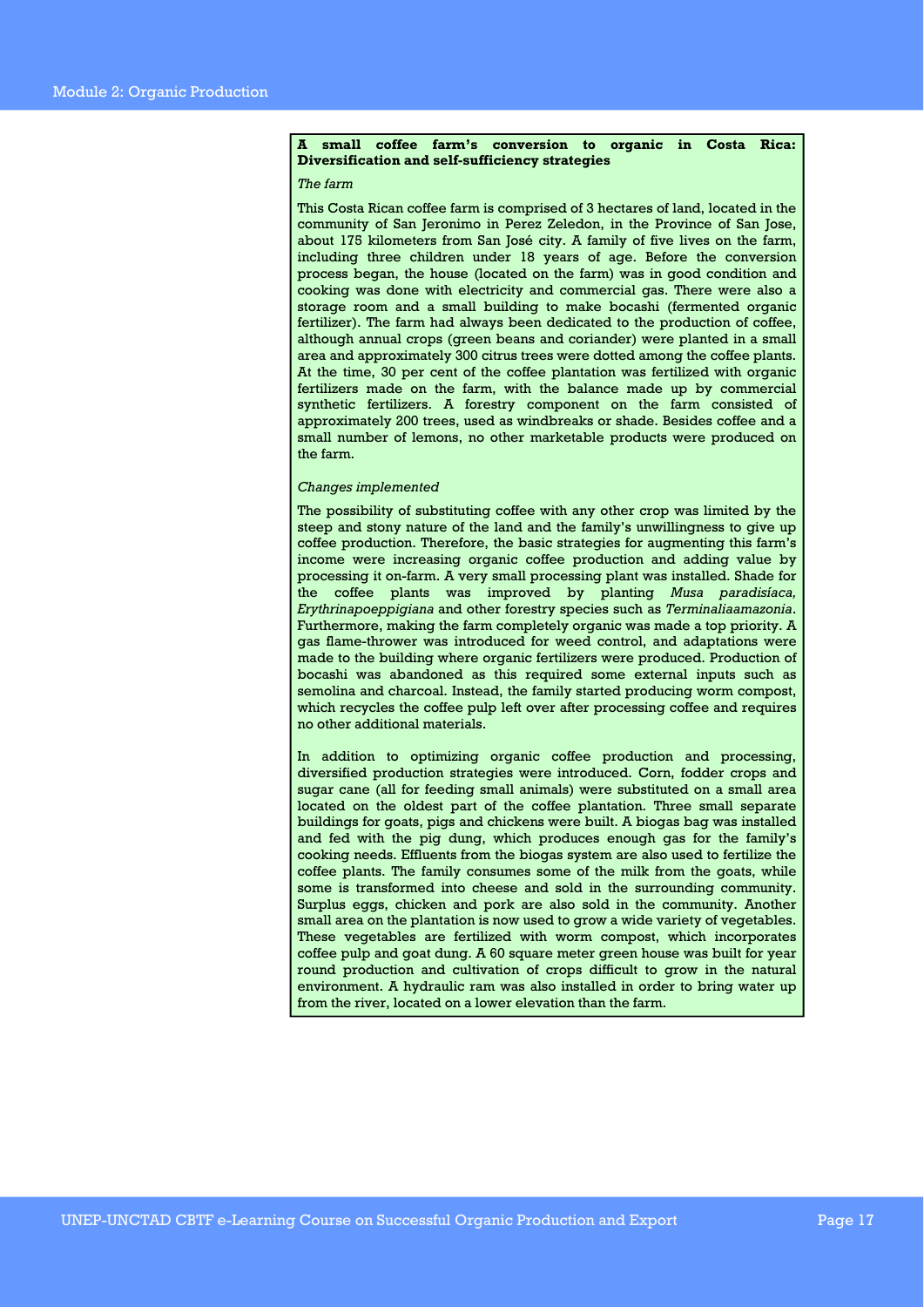#### **A small coffee farm's conversion to organic in Costa Rica: Diversification and self-sufficiency strategies**

#### *The farm*

This Costa Rican coffee farm is comprised of 3 hectares of land, located in the community of San Jeronimo in Perez Zeledon, in the Province of San Jose, about 175 kilometers from San José city. A family of five lives on the farm, including three children under 18 years of age. Before the conversion process began, the house (located on the farm) was in good condition and cooking was done with electricity and commercial gas. There were also a storage room and a small building to make bocashi (fermented organic fertilizer). The farm had always been dedicated to the production of coffee, although annual crops (green beans and coriander) were planted in a small area and approximately 300 citrus trees were dotted among the coffee plants. At the time, 30 per cent of the coffee plantation was fertilized with organic fertilizers made on the farm, with the balance made up by commercial synthetic fertilizers. A forestry component on the farm consisted of approximately 200 trees, used as windbreaks or shade. Besides coffee and a small number of lemons, no other marketable products were produced on the farm.

#### *Changes implemented*

The possibility of substituting coffee with any other crop was limited by the steep and stony nature of the land and the family's unwillingness to give up coffee production. Therefore, the basic strategies for augmenting this farm's income were increasing organic coffee production and adding value by processing it on-farm. A very small processing plant was installed. Shade for the coffee plants was improved by planting *Musa paradisíaca, Erythrinapoeppigiana* and other forestry species such as *Terminaliaamazonia*. Furthermore, making the farm completely organic was made a top priority. A gas flame-thrower was introduced for weed control, and adaptations were made to the building where organic fertilizers were produced. Production of bocashi was abandoned as this required some external inputs such as semolina and charcoal. Instead, the family started producing worm compost, which recycles the coffee pulp left over after processing coffee and requires no other additional materials.

In addition to optimizing organic coffee production and processing, diversified production strategies were introduced. Corn, fodder crops and sugar cane (all for feeding small animals) were substituted on a small area located on the oldest part of the coffee plantation. Three small separate buildings for goats, pigs and chickens were built. A biogas bag was installed and fed with the pig dung, which produces enough gas for the family's cooking needs. Effluents from the biogas system are also used to fertilize the coffee plants. The family consumes some of the milk from the goats, while some is transformed into cheese and sold in the surrounding community. Surplus eggs, chicken and pork are also sold in the community. Another small area on the plantation is now used to grow a wide variety of vegetables. These vegetables are fertilized with worm compost, which incorporates coffee pulp and goat dung. A 60 square meter green house was built for year round production and cultivation of crops difficult to grow in the natural environment. A hydraulic ram was also installed in order to bring water up from the river, located on a lower elevation than the farm.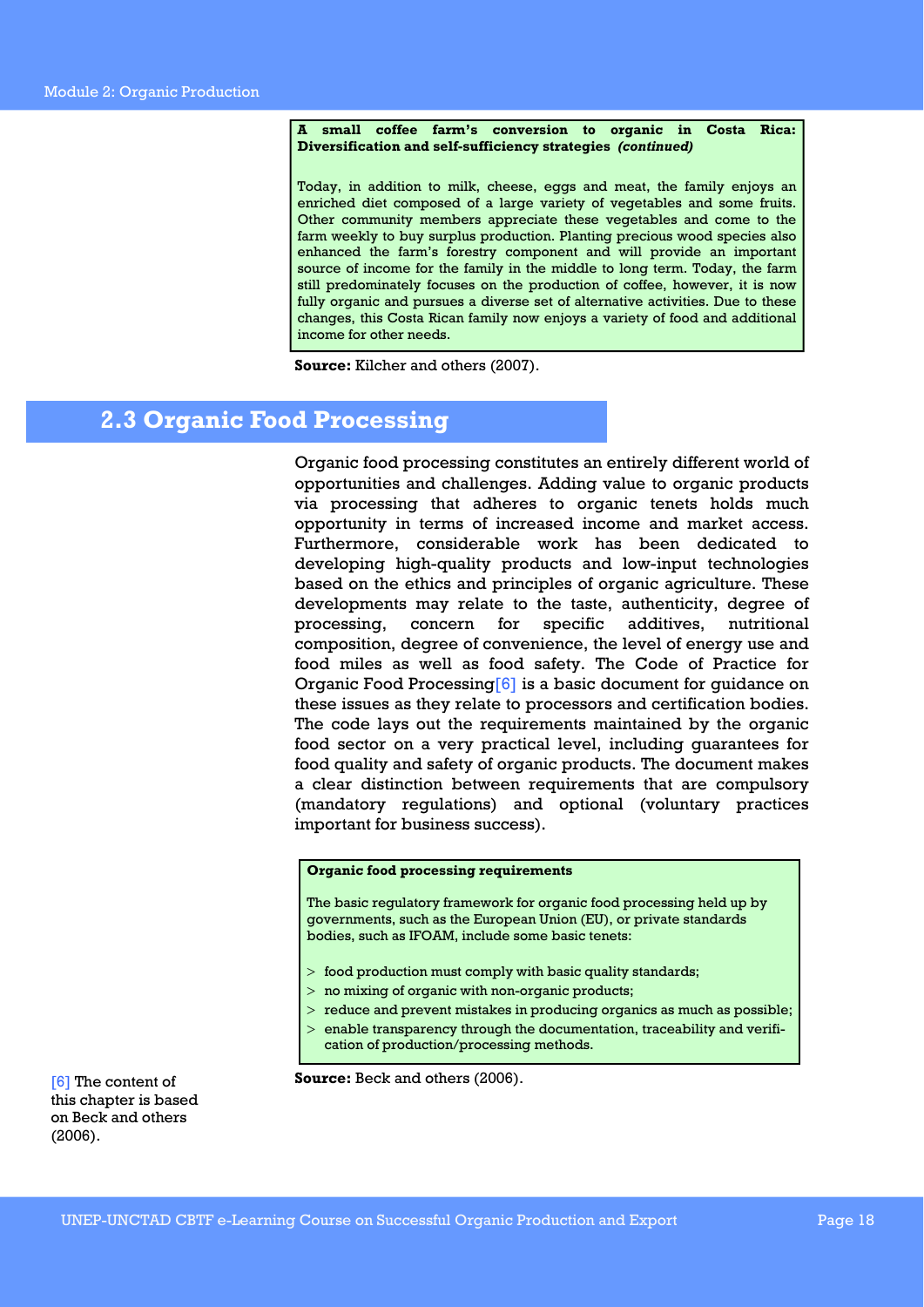#### **A small coffee farm's conversion to organic in Costa Rica: Diversification and self-sufficiency strategies** *(continued)*

Today, in addition to milk, cheese, eggs and meat, the family enjoys an enriched diet composed of a large variety of vegetables and some fruits. Other community members appreciate these vegetables and come to the farm weekly to buy surplus production. Planting precious wood species also enhanced the farm's forestry component and will provide an important source of income for the family in the middle to long term. Today, the farm still predominately focuses on the production of coffee, however, it is now fully organic and pursues a diverse set of alternative activities. Due to these changes, this Costa Rican family now enjoys a variety of food and additional income for other needs.

**Source:** Kilcher and others (2007).

### **2.3 Organic Food Processing**

Organic food processing constitutes an entirely different world of opportunities and challenges. Adding value to organic products via processing that adheres to organic tenets holds much opportunity in terms of increased income and market access. Furthermore, considerable work has been dedicated to developing high-quality products and low-input technologies based on the ethics and principles of organic agriculture. These developments may relate to the taste, authenticity, degree of processing, concern for specific additives, nutritional composition, degree of convenience, the level of energy use and food miles as well as food safety. The Code of Practice for Organic Food Processing[6] is a basic document for guidance on these issues as they relate to processors and certification bodies. The code lays out the requirements maintained by the organic food sector on a very practical level, including guarantees for food quality and safety of organic products. The document makes a clear distinction between requirements that are compulsory (mandatory regulations) and optional (voluntary practices important for business success).

#### **Organic food processing requirements**

The basic regulatory framework for organic food processing held up by governments, such as the European Union (EU), or private standards bodies, such as IFOAM, include some basic tenets:

- > food production must comply with basic quality standards;
- > no mixing of organic with non-organic products;
- > reduce and prevent mistakes in producing organics as much as possible;
- $>$  enable transparency through the documentation, traceability and verification of production/processing methods.

**Source:** Beck and others (2006).

[6] The content of this chapter is based on Beck and others (2006).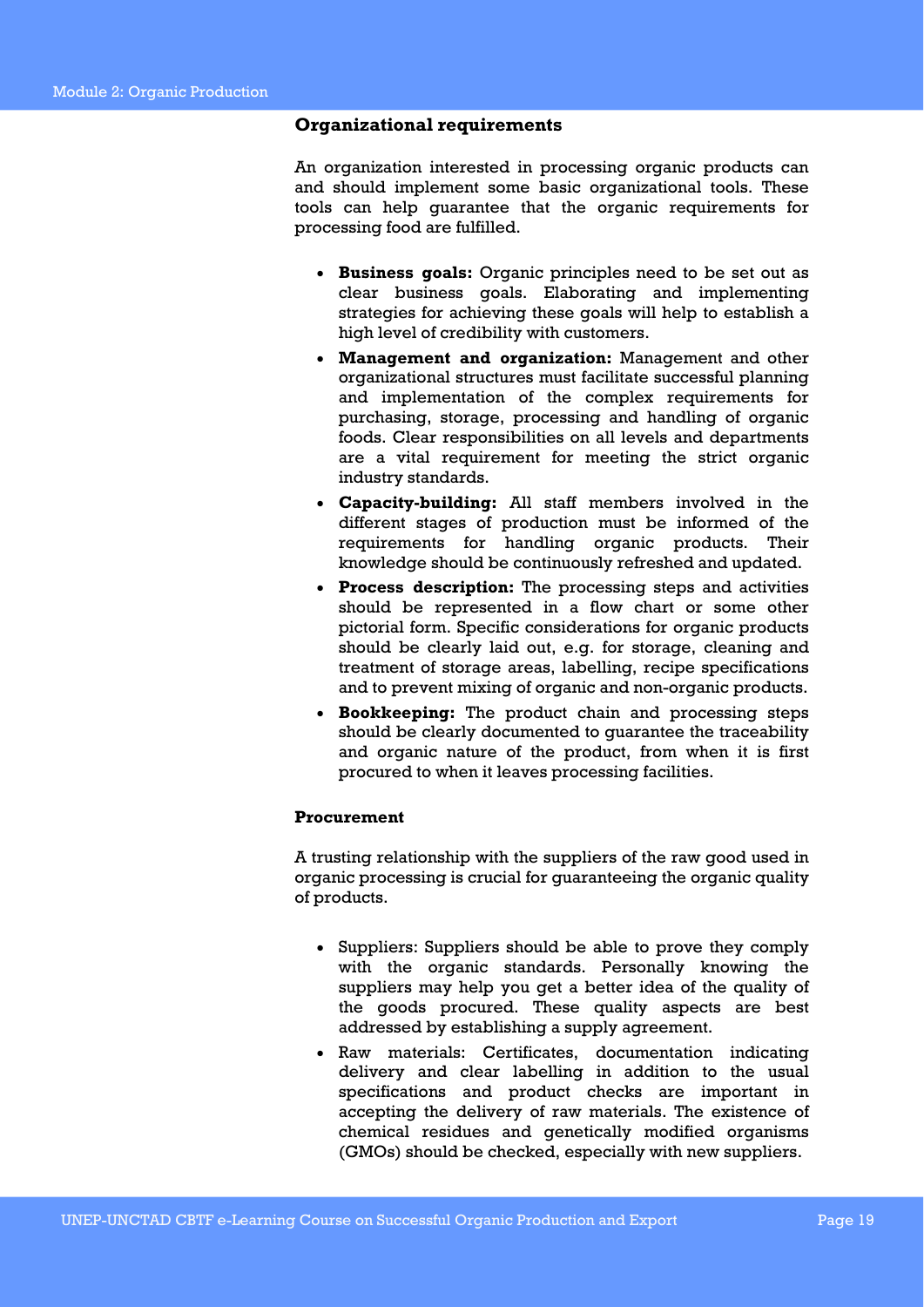### **Organizational requirements**

An organization interested in processing organic products can and should implement some basic organizational tools. These tools can help guarantee that the organic requirements for processing food are fulfilled.

- **Business goals:** Organic principles need to be set out as clear business goals. Elaborating and implementing strategies for achieving these goals will help to establish a high level of credibility with customers.
- **Management and organization:** Management and other organizational structures must facilitate successful planning and implementation of the complex requirements for purchasing, storage, processing and handling of organic foods. Clear responsibilities on all levels and departments are a vital requirement for meeting the strict organic industry standards.
- **Capacity-building:** All staff members involved in the different stages of production must be informed of the requirements for handling organic products. Their knowledge should be continuously refreshed and updated.
- **Process description:** The processing steps and activities should be represented in a flow chart or some other pictorial form. Specific considerations for organic products should be clearly laid out, e.g. for storage, cleaning and treatment of storage areas, labelling, recipe specifications and to prevent mixing of organic and non-organic products.
- **Bookkeeping:** The product chain and processing steps should be clearly documented to guarantee the traceability and organic nature of the product, from when it is first procured to when it leaves processing facilities.

### **Procurement**

A trusting relationship with the suppliers of the raw good used in organic processing is crucial for guaranteeing the organic quality of products.

- Suppliers: Suppliers should be able to prove they comply with the organic standards. Personally knowing the suppliers may help you get a better idea of the quality of the goods procured. These quality aspects are best addressed by establishing a supply agreement.
- Raw materials: Certificates, documentation indicating delivery and clear labelling in addition to the usual specifications and product checks are important in accepting the delivery of raw materials. The existence of chemical residues and genetically modified organisms (GMOs) should be checked, especially with new suppliers.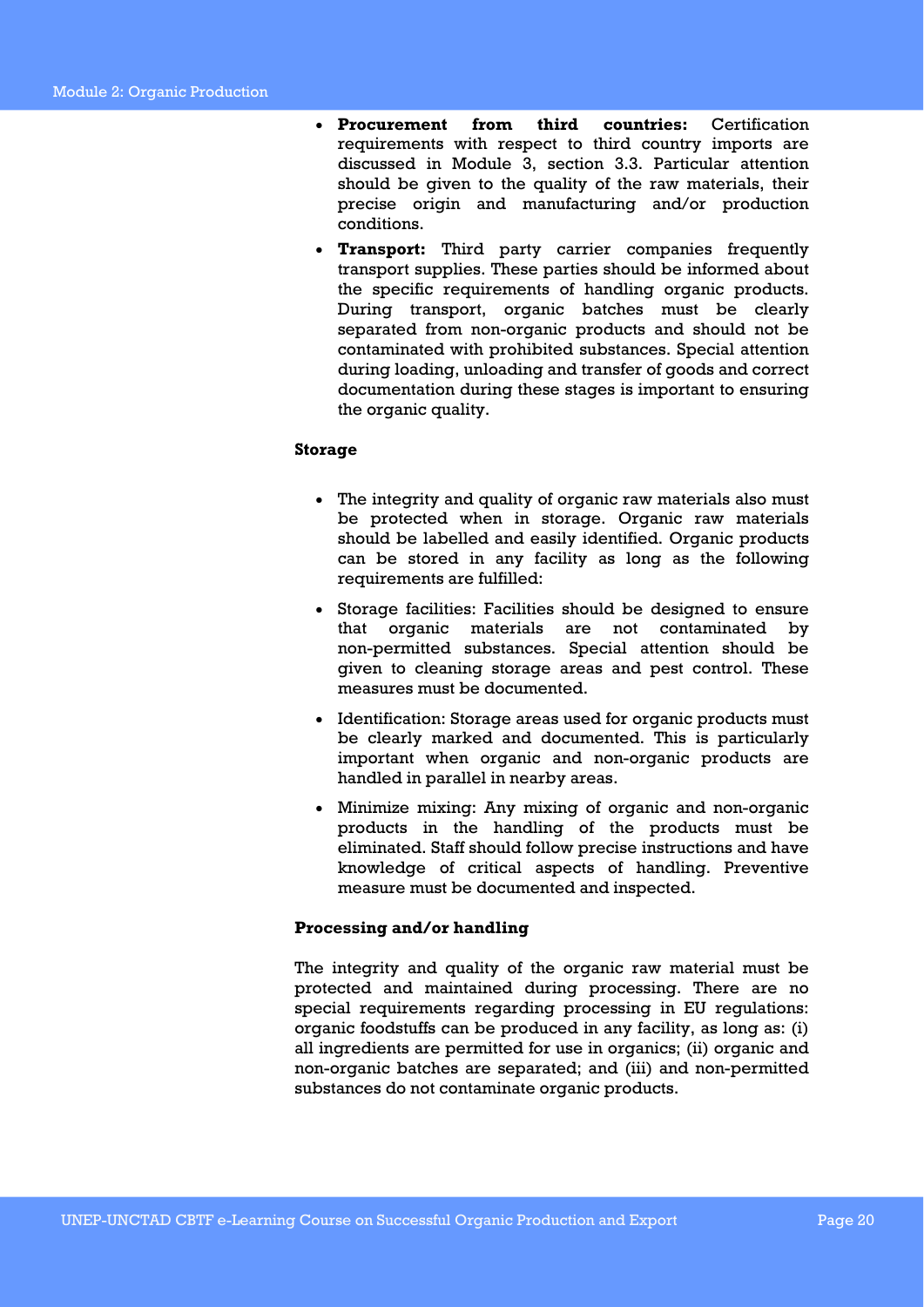- **Procurement from third countries:** Certification requirements with respect to third country imports are discussed in Module 3, section 3.3. Particular attention should be given to the quality of the raw materials, their precise origin and manufacturing and/or production conditions.
- **Transport:** Third party carrier companies frequently transport supplies. These parties should be informed about the specific requirements of handling organic products. During transport, organic batches must be clearly separated from non-organic products and should not be contaminated with prohibited substances. Special attention during loading, unloading and transfer of goods and correct documentation during these stages is important to ensuring the organic quality.

### **Storage**

- The integrity and quality of organic raw materials also must be protected when in storage. Organic raw materials should be labelled and easily identified. Organic products can be stored in any facility as long as the following requirements are fulfilled:
- Storage facilities: Facilities should be designed to ensure that organic materials are not contaminated by non-permitted substances. Special attention should be given to cleaning storage areas and pest control. These measures must be documented.
- Identification: Storage areas used for organic products must be clearly marked and documented. This is particularly important when organic and non-organic products are handled in parallel in nearby areas.
- Minimize mixing: Any mixing of organic and non-organic products in the handling of the products must be eliminated. Staff should follow precise instructions and have knowledge of critical aspects of handling. Preventive measure must be documented and inspected.

### **Processing and/or handling**

The integrity and quality of the organic raw material must be protected and maintained during processing. There are no special requirements regarding processing in EU regulations: organic foodstuffs can be produced in any facility, as long as: (i) all ingredients are permitted for use in organics; (ii) organic and non-organic batches are separated; and (iii) and non-permitted substances do not contaminate organic products.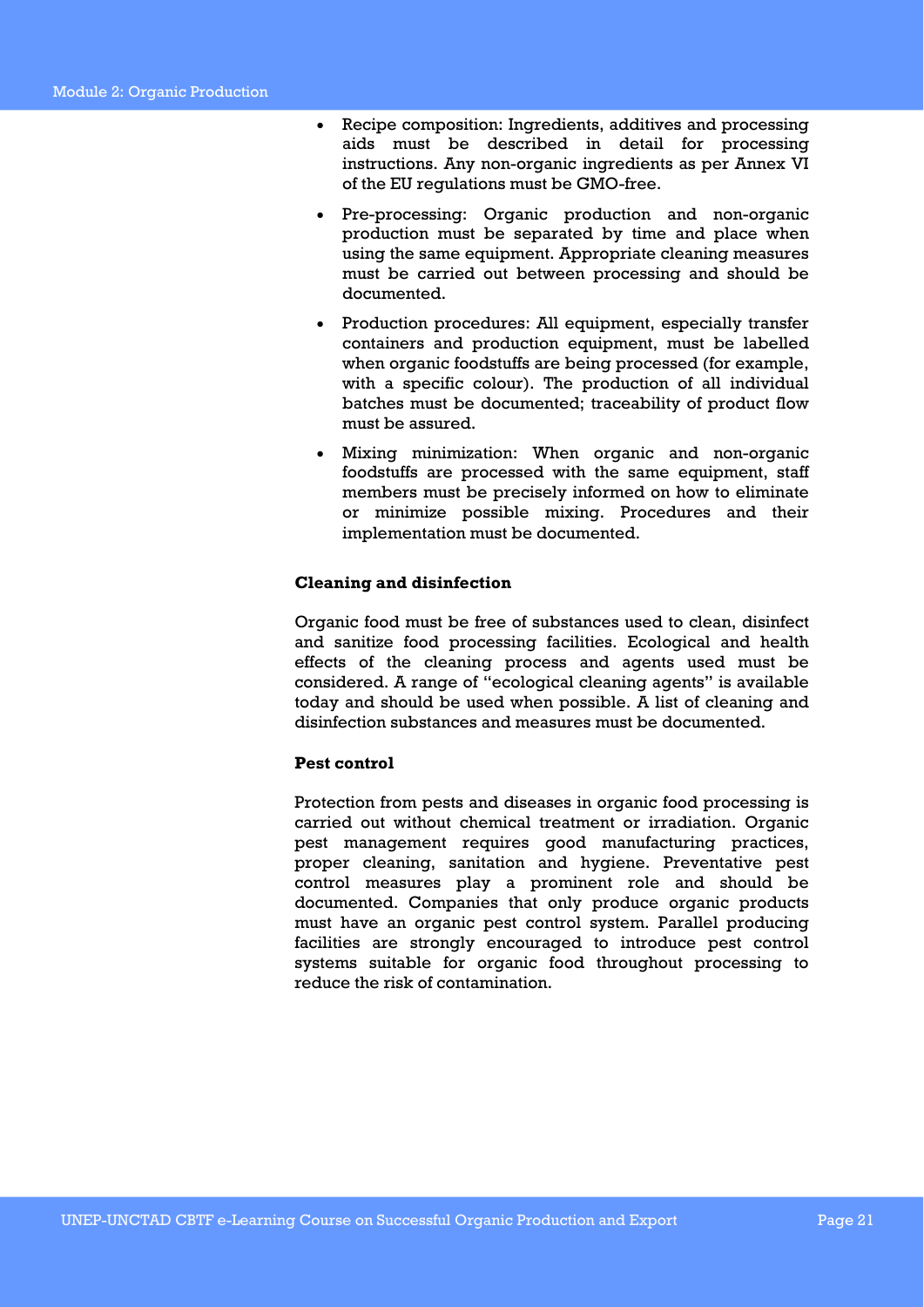- Recipe composition: Ingredients, additives and processing aids must be described in detail for processing instructions. Any non-organic ingredients as per Annex VI of the EU regulations must be GMO-free.
- Pre-processing: Organic production and non-organic production must be separated by time and place when using the same equipment. Appropriate cleaning measures must be carried out between processing and should be documented.
- Production procedures: All equipment, especially transfer containers and production equipment, must be labelled when organic foodstuffs are being processed (for example, with a specific colour). The production of all individual batches must be documented; traceability of product flow must be assured.
- Mixing minimization: When organic and non-organic foodstuffs are processed with the same equipment, staff members must be precisely informed on how to eliminate or minimize possible mixing. Procedures and their implementation must be documented.

### **Cleaning and disinfection**

Organic food must be free of substances used to clean, disinfect and sanitize food processing facilities. Ecological and health effects of the cleaning process and agents used must be considered. A range of "ecological cleaning agents" is available today and should be used when possible. A list of cleaning and disinfection substances and measures must be documented.

### **Pest control**

Protection from pests and diseases in organic food processing is carried out without chemical treatment or irradiation. Organic pest management requires good manufacturing practices, proper cleaning, sanitation and hygiene. Preventative pest control measures play a prominent role and should be documented. Companies that only produce organic products must have an organic pest control system. Parallel producing facilities are strongly encouraged to introduce pest control systems suitable for organic food throughout processing to reduce the risk of contamination.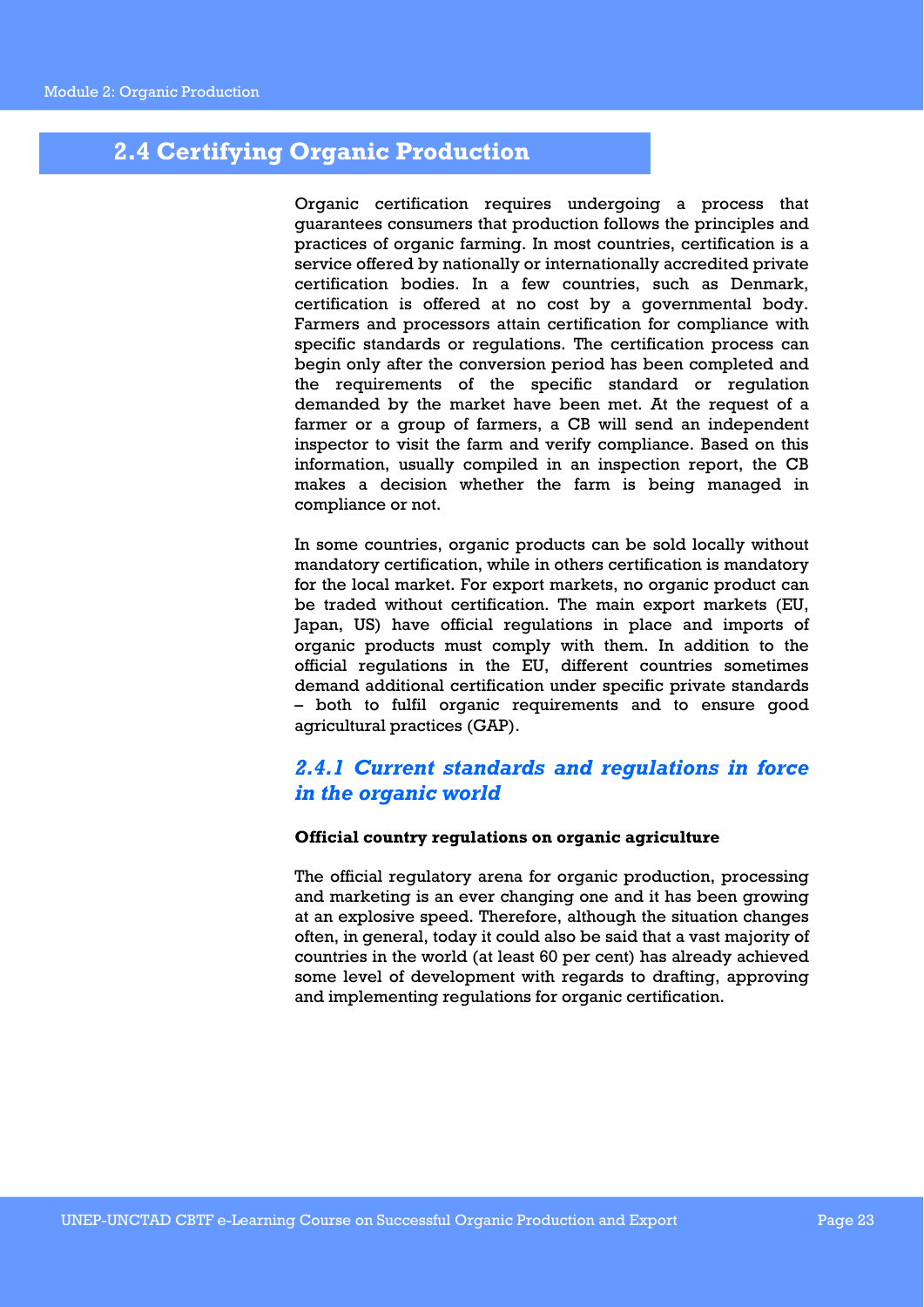### **2.4 Certifying Organic Production**

Organic certification requires undergoing a process that guarantees consumers that production follows the principles and practices of organic farming. In most countries, certification is a service offered by nationally or internationally accredited private certification bodies. In a few countries, such as Denmark, certification is offered at no cost by a governmental body. Farmers and processors attain certification for compliance with specific standards or regulations. The certification process can begin only after the conversion period has been completed and the requirements of the specific standard or regulation demanded by the market have been met. At the request of a farmer or a group of farmers, a CB will send an independent inspector to visit the farm and verify compliance. Based on this information, usually compiled in an inspection report, the CB makes a decision whether the farm is being managed in compliance or not.

In some countries, organic products can be sold locally without mandatory certification, while in others certification is mandatory for the local market. For export markets, no organic product can be traded without certification. The main export markets (EU, Japan, US) have official regulations in place and imports of organic products must comply with them. In addition to the official regulations in the EU, different countries sometimes demand additional certification under specific private standards – both to fulfil organic requirements and to ensure good agricultural practices (GAP).

### *2.4.1 Current standards and regulations in force in the organic world*

### **Official country regulations on organic agriculture**

The official regulatory arena for organic production, processing and marketing is an ever changing one and it has been growing at an explosive speed. Therefore, although the situation changes often, in general, today it could also be said that a vast majority of countries in the world (at least 60 per cent) has already achieved some level of development with regards to drafting, approving and implementing regulations for organic certification.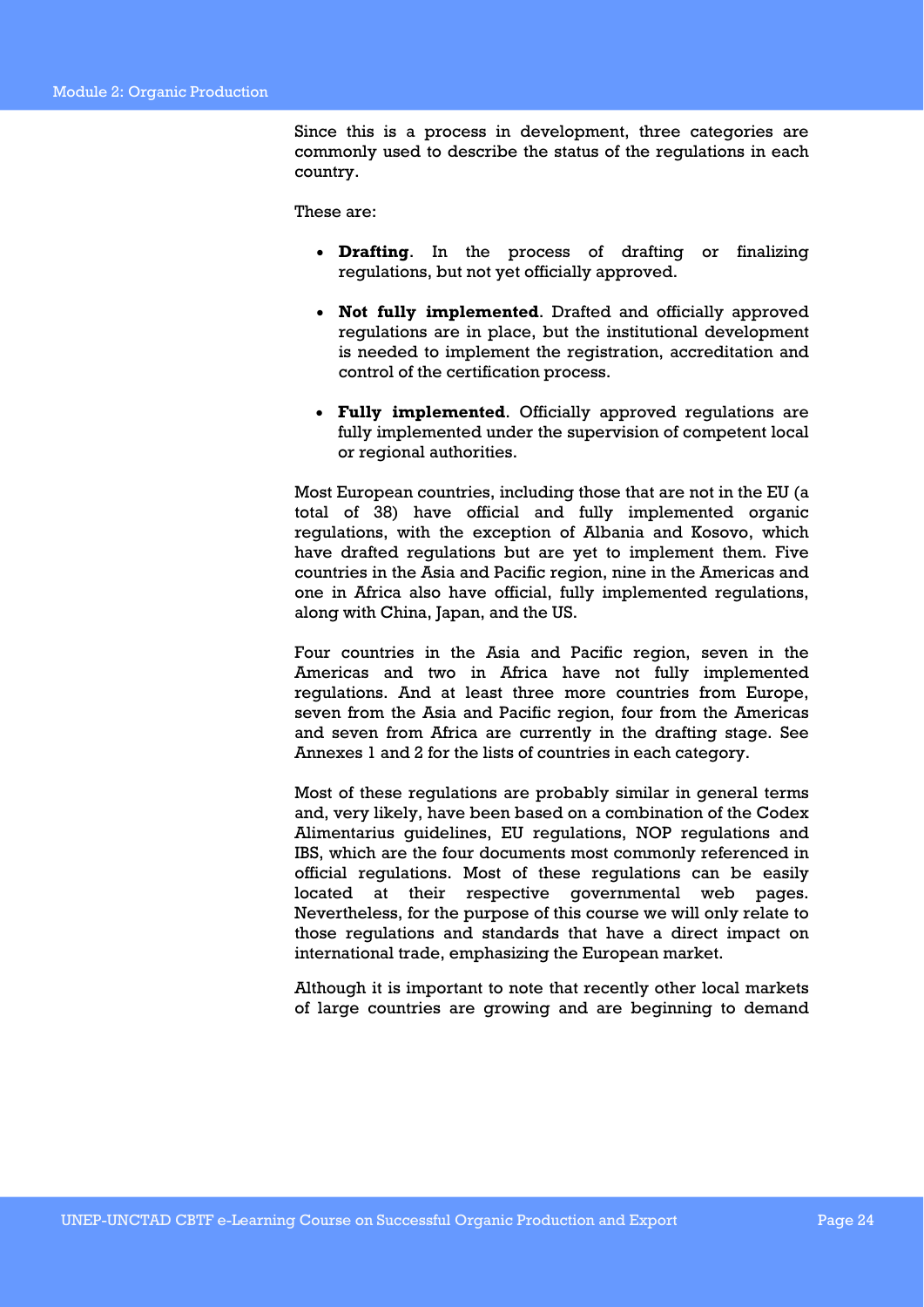Since this is a process in development, three categories are commonly used to describe the status of the regulations in each country.

These are:

- **Drafting**. In the process of drafting or finalizing regulations, but not yet officially approved.
- **Not fully implemented**. Drafted and officially approved regulations are in place, but the institutional development is needed to implement the registration, accreditation and control of the certification process.
- **Fully implemented**. Officially approved regulations are fully implemented under the supervision of competent local or regional authorities.

Most European countries, including those that are not in the EU (a total of 38) have official and fully implemented organic regulations, with the exception of Albania and Kosovo, which have drafted regulations but are yet to implement them. Five countries in the Asia and Pacific region, nine in the Americas and one in Africa also have official, fully implemented regulations, along with China, Japan, and the US.

Four countries in the Asia and Pacific region, seven in the Americas and two in Africa have not fully implemented regulations. And at least three more countries from Europe, seven from the Asia and Pacific region, four from the Americas and seven from Africa are currently in the drafting stage. See Annexes 1 and 2 for the lists of countries in each category.

Most of these regulations are probably similar in general terms and, very likely, have been based on a combination of the Codex Alimentarius guidelines, EU regulations, NOP regulations and IBS, which are the four documents most commonly referenced in official regulations. Most of these regulations can be easily located at their respective governmental web pages. Nevertheless, for the purpose of this course we will only relate to those regulations and standards that have a direct impact on international trade, emphasizing the European market.

Although it is important to note that recently other local markets of large countries are growing and are beginning to demand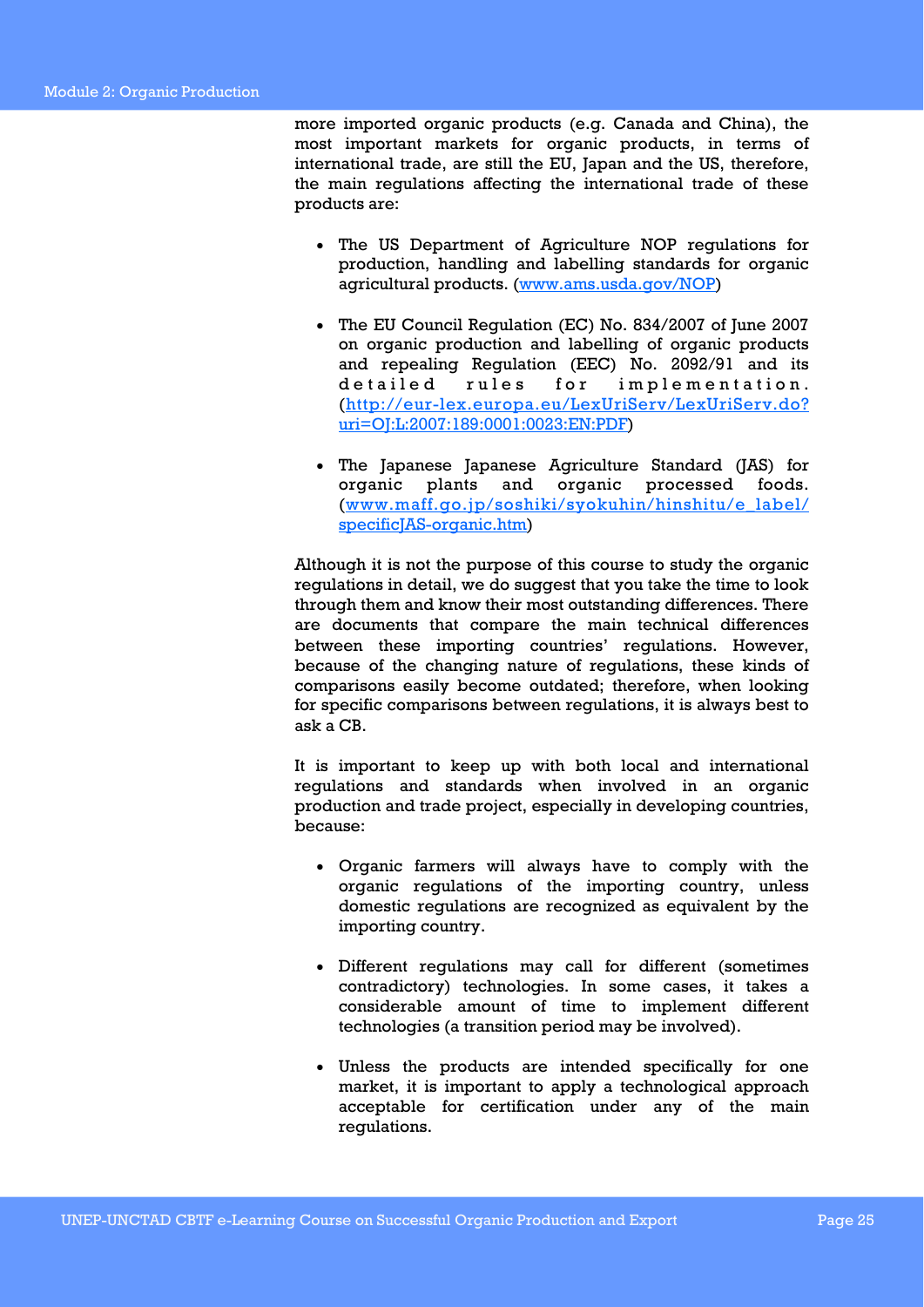more imported organic products (e.g. Canada and China), the most important markets for organic products, in terms of international trade, are still the EU, Japan and the US, therefore, the main regulations affecting the international trade of these products are:

- The US Department of Agriculture NOP regulations for production, handling and labelling standards for organic agricultural products. (www.ams.usda.gov/NOP)
- The EU Council Regulation (EC) No. 834/2007 of June 2007 on organic production and labelling of organic products and repealing Regulation (EEC) No. 2092/91 and its detailed rules for implementation. (http://eur-lex.europa.eu/LexUriServ/LexUriServ.do? uri=OJ:L:2007:189:0001:0023:EN:PDF)
- The Japanese Japanese Agriculture Standard (JAS) for organic plants and organic processed foods. (www.maff.go.jp/soshiki/syokuhin/hinshitu/e\_label/ specificJAS-organic.htm)

Although it is not the purpose of this course to study the organic regulations in detail, we do suggest that you take the time to look through them and know their most outstanding differences. There are documents that compare the main technical differences between these importing countries' regulations. However, because of the changing nature of regulations, these kinds of comparisons easily become outdated; therefore, when looking for specific comparisons between regulations, it is always best to ask a CB.

It is important to keep up with both local and international regulations and standards when involved in an organic production and trade project, especially in developing countries, because:

- Organic farmers will always have to comply with the organic regulations of the importing country, unless domestic regulations are recognized as equivalent by the importing country.
- Different regulations may call for different (sometimes contradictory) technologies. In some cases, it takes a considerable amount of time to implement different technologies (a transition period may be involved).
- Unless the products are intended specifically for one market, it is important to apply a technological approach acceptable for certification under any of the main regulations.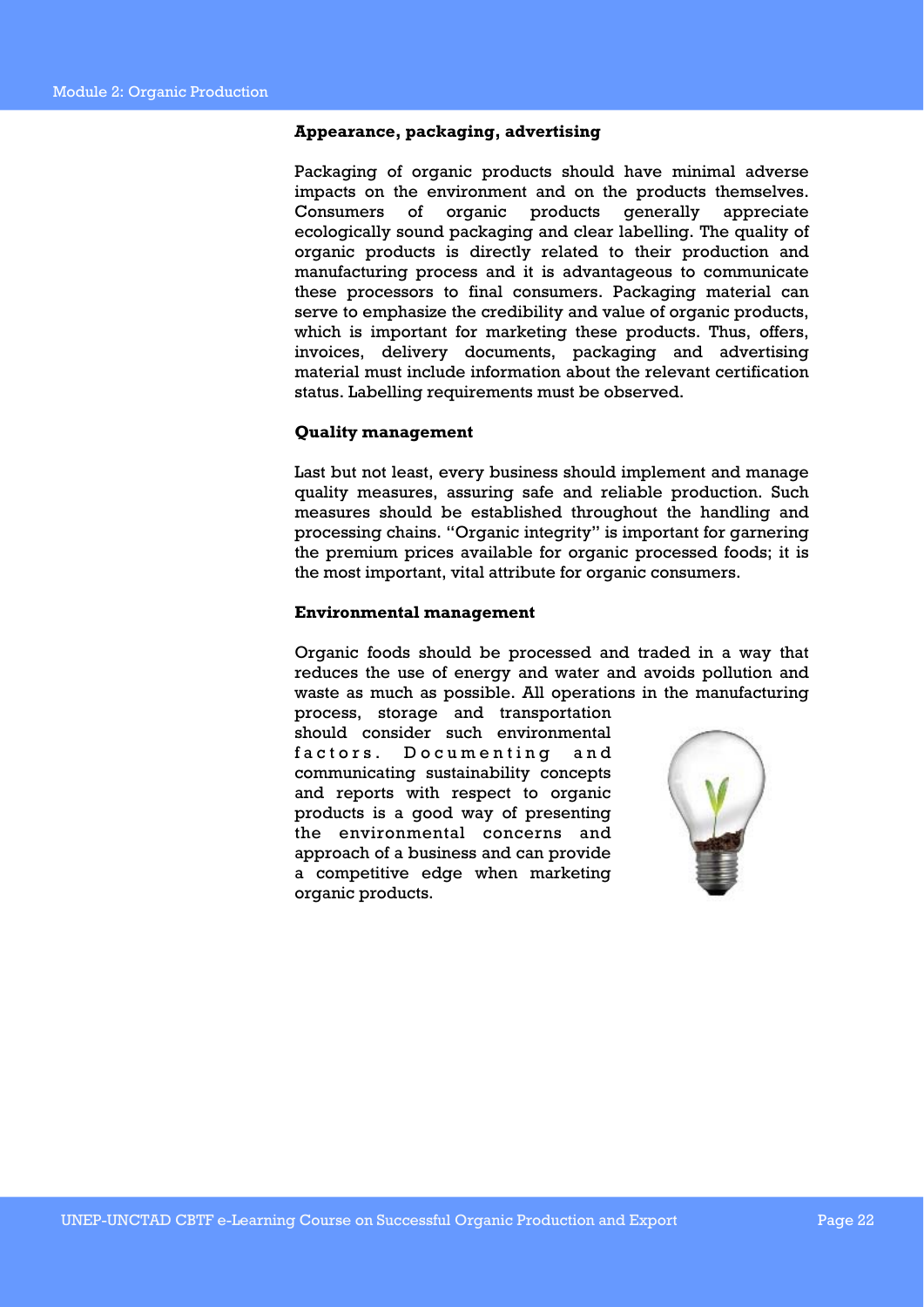### **Appearance, packaging, advertising**

Packaging of organic products should have minimal adverse impacts on the environment and on the products themselves. Consumers of organic products generally appreciate ecologically sound packaging and clear labelling. The quality of organic products is directly related to their production and manufacturing process and it is advantageous to communicate these processors to final consumers. Packaging material can serve to emphasize the credibility and value of organic products, which is important for marketing these products. Thus, offers, invoices, delivery documents, packaging and advertising material must include information about the relevant certification status. Labelling requirements must be observed.

### **Quality management**

Last but not least, every business should implement and manage quality measures, assuring safe and reliable production. Such measures should be established throughout the handling and processing chains. "Organic integrity" is important for garnering the premium prices available for organic processed foods; it is the most important, vital attribute for organic consumers.

#### **Environmental management**

Organic foods should be processed and traded in a way that reduces the use of energy and water and avoids pollution and waste as much as possible. All operations in the manufacturing

process, storage and transportation should consider such environmental factors. Documenting and communicating sustainability concepts and reports with respect to organic products is a good way of presenting the environmental concerns and approach of a business and can provide a competitive edge when marketing organic products.

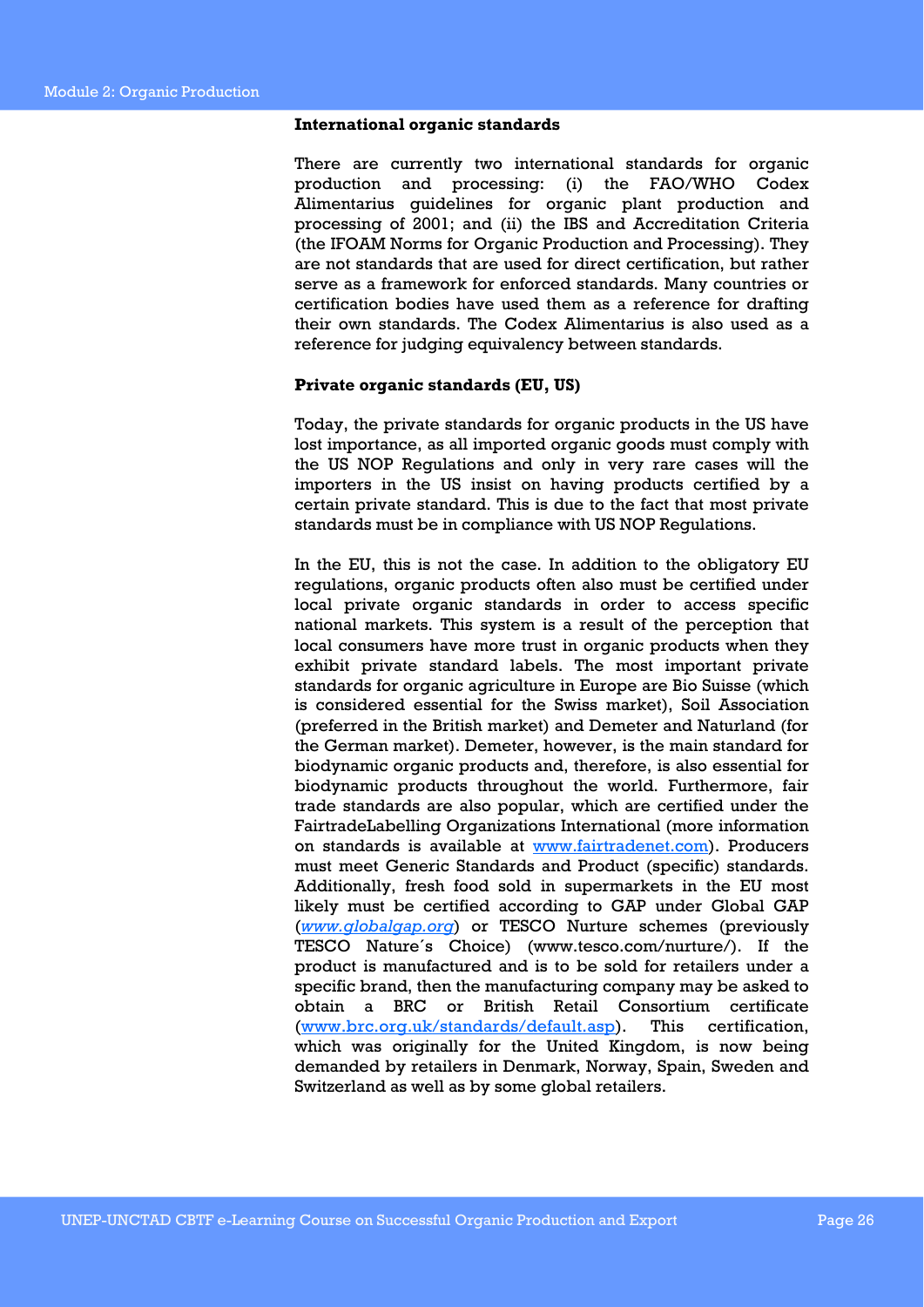#### **International organic standards**

There are currently two international standards for organic production and processing: (i) the FAO/WHO Codex Alimentarius guidelines for organic plant production and processing of 2001; and (ii) the IBS and Accreditation Criteria (the IFOAM Norms for Organic Production and Processing). They are not standards that are used for direct certification, but rather serve as a framework for enforced standards. Many countries or certification bodies have used them as a reference for drafting their own standards. The Codex Alimentarius is also used as a reference for judging equivalency between standards.

### **Private organic standards (EU, US)**

Today, the private standards for organic products in the US have lost importance, as all imported organic goods must comply with the US NOP Regulations and only in very rare cases will the importers in the US insist on having products certified by a certain private standard. This is due to the fact that most private standards must be in compliance with US NOP Regulations.

In the EU, this is not the case. In addition to the obligatory EU regulations, organic products often also must be certified under local private organic standards in order to access specific national markets. This system is a result of the perception that local consumers have more trust in organic products when they exhibit private standard labels. The most important private standards for organic agriculture in Europe are Bio Suisse (which is considered essential for the Swiss market), Soil Association (preferred in the British market) and Demeter and Naturland (for the German market). Demeter, however, is the main standard for biodynamic organic products and, therefore, is also essential for biodynamic products throughout the world. Furthermore, fair trade standards are also popular, which are certified under the FairtradeLabelling Organizations International (more information on standards is available at www.fairtradenet.com). Producers must meet Generic Standards and Product (specific) standards. Additionally, fresh food sold in supermarkets in the EU most likely must be certified according to GAP under Global GAP (*www.globalgap.org*) or TESCO Nurture schemes (previously TESCO Nature´s Choice) (www.tesco.com/nurture/). If the product is manufactured and is to be sold for retailers under a specific brand, then the manufacturing company may be asked to obtain a BRC or British Retail Consortium certificate (www.brc.org.uk/standards/default.asp). This certification, which was originally for the United Kingdom, is now being demanded by retailers in Denmark, Norway, Spain, Sweden and Switzerland as well as by some global retailers.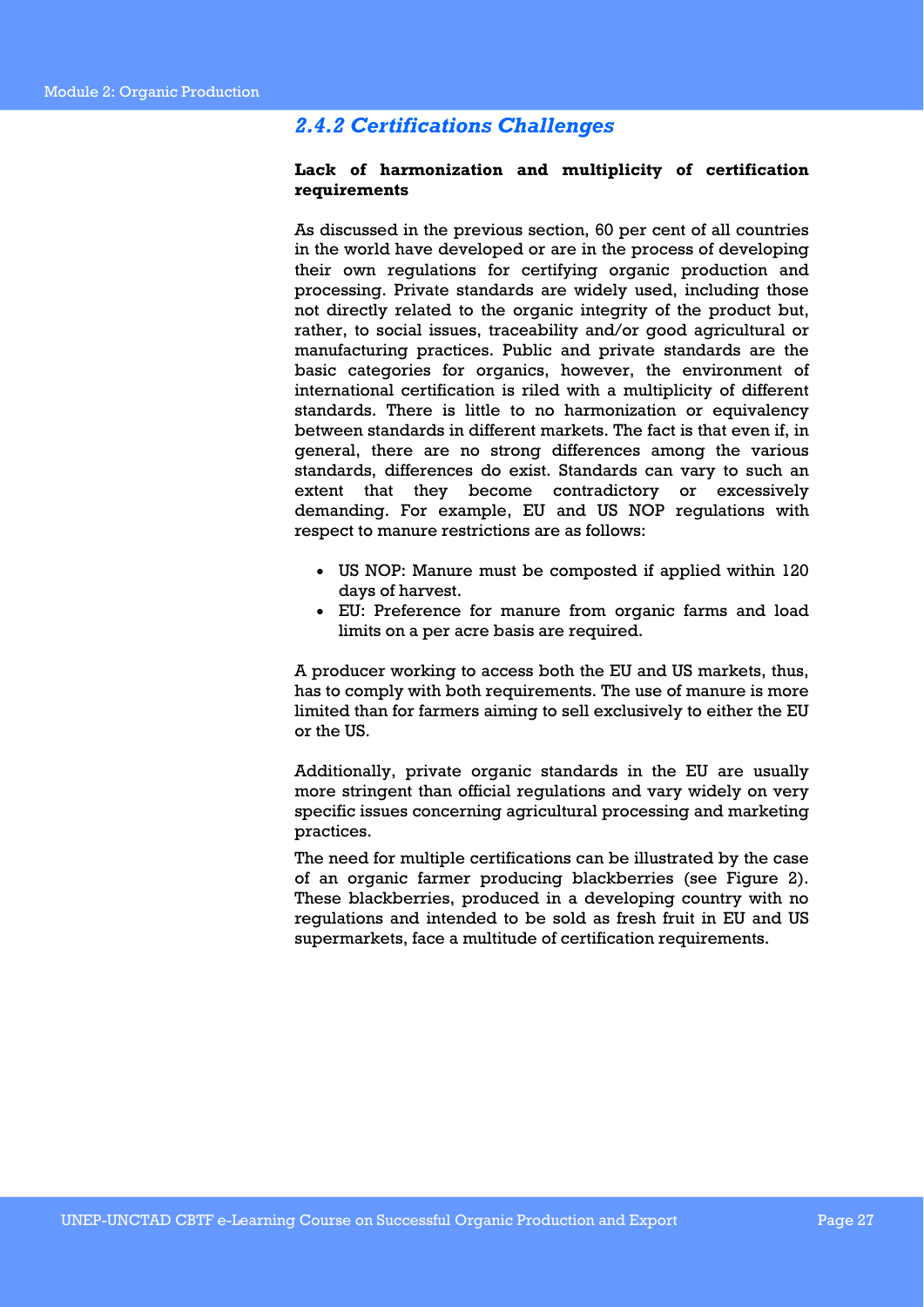### *2.4.2 Certifications Challenges*

### **Lack of harmonization and multiplicity of certification requirements**

As discussed in the previous section, 60 per cent of all countries in the world have developed or are in the process of developing their own regulations for certifying organic production and processing. Private standards are widely used, including those not directly related to the organic integrity of the product but, rather, to social issues, traceability and/or good agricultural or manufacturing practices. Public and private standards are the basic categories for organics, however, the environment of international certification is riled with a multiplicity of different standards. There is little to no harmonization or equivalency between standards in different markets. The fact is that even if, in general, there are no strong differences among the various standards, differences do exist. Standards can vary to such an extent that they become contradictory or excessively demanding. For example, EU and US NOP regulations with respect to manure restrictions are as follows:

- US NOP: Manure must be composted if applied within 120 days of harvest.
- EU: Preference for manure from organic farms and load limits on a per acre basis are required.

A producer working to access both the EU and US markets, thus, has to comply with both requirements. The use of manure is more limited than for farmers aiming to sell exclusively to either the EU or the US.

Additionally, private organic standards in the EU are usually more stringent than official regulations and vary widely on very specific issues concerning agricultural processing and marketing practices.

The need for multiple certifications can be illustrated by the case of an organic farmer producing blackberries (see Figure 2). These blackberries, produced in a developing country with no regulations and intended to be sold as fresh fruit in EU and US supermarkets, face a multitude of certification requirements.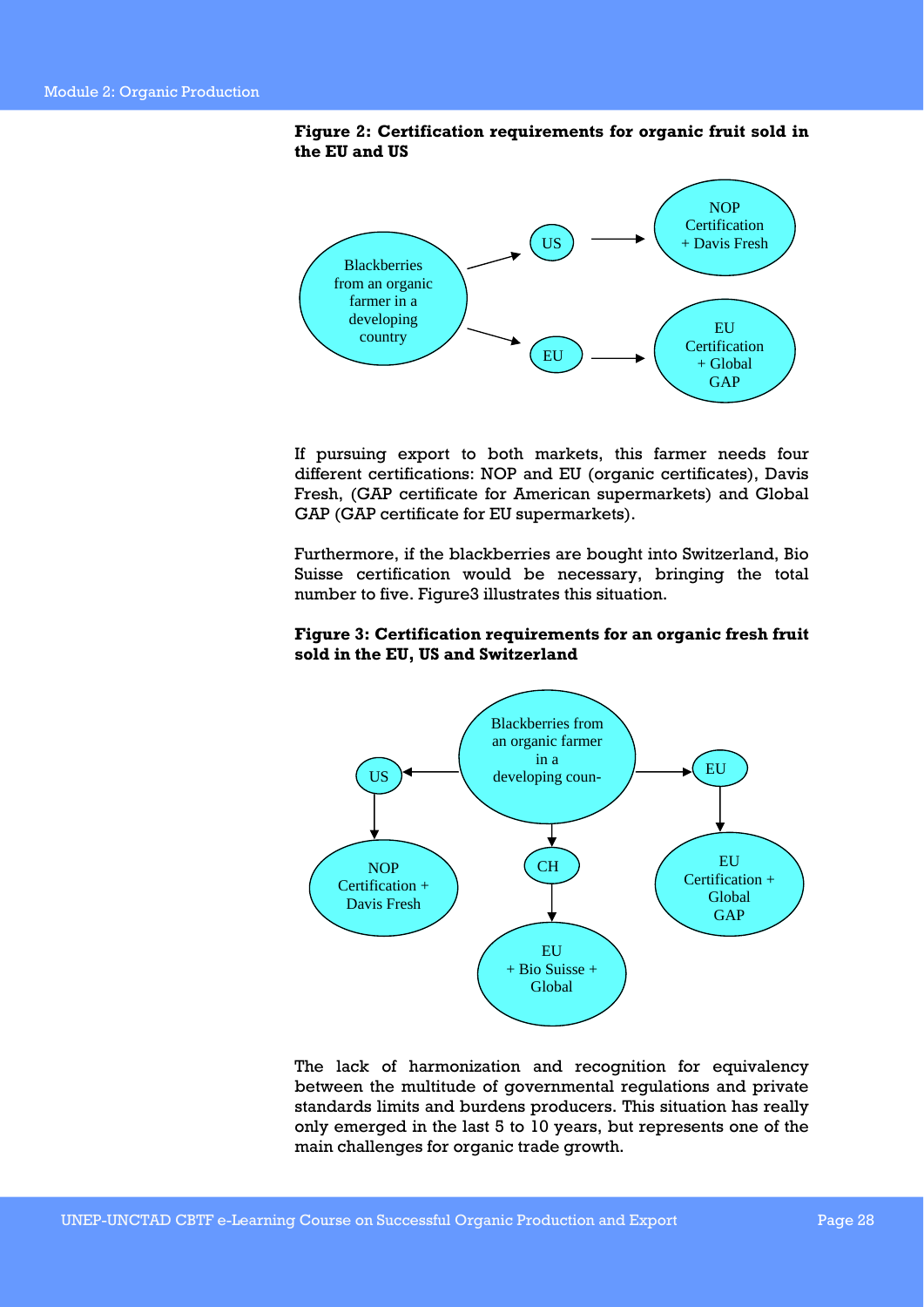### **Figure 2: Certification requirements for organic fruit sold in the EU and US**



If pursuing export to both markets, this farmer needs four different certifications: NOP and EU (organic certificates), Davis Fresh, (GAP certificate for American supermarkets) and Global GAP (GAP certificate for EU supermarkets).

Furthermore, if the blackberries are bought into Switzerland, Bio Suisse certification would be necessary, bringing the total number to five. Figure3 illustrates this situation.

### **Figure 3: Certification requirements for an organic fresh fruit sold in the EU, US and Switzerland**



The lack of harmonization and recognition for equivalency between the multitude of governmental regulations and private standards limits and burdens producers. This situation has really only emerged in the last 5 to 10 years, but represents one of the main challenges for organic trade growth.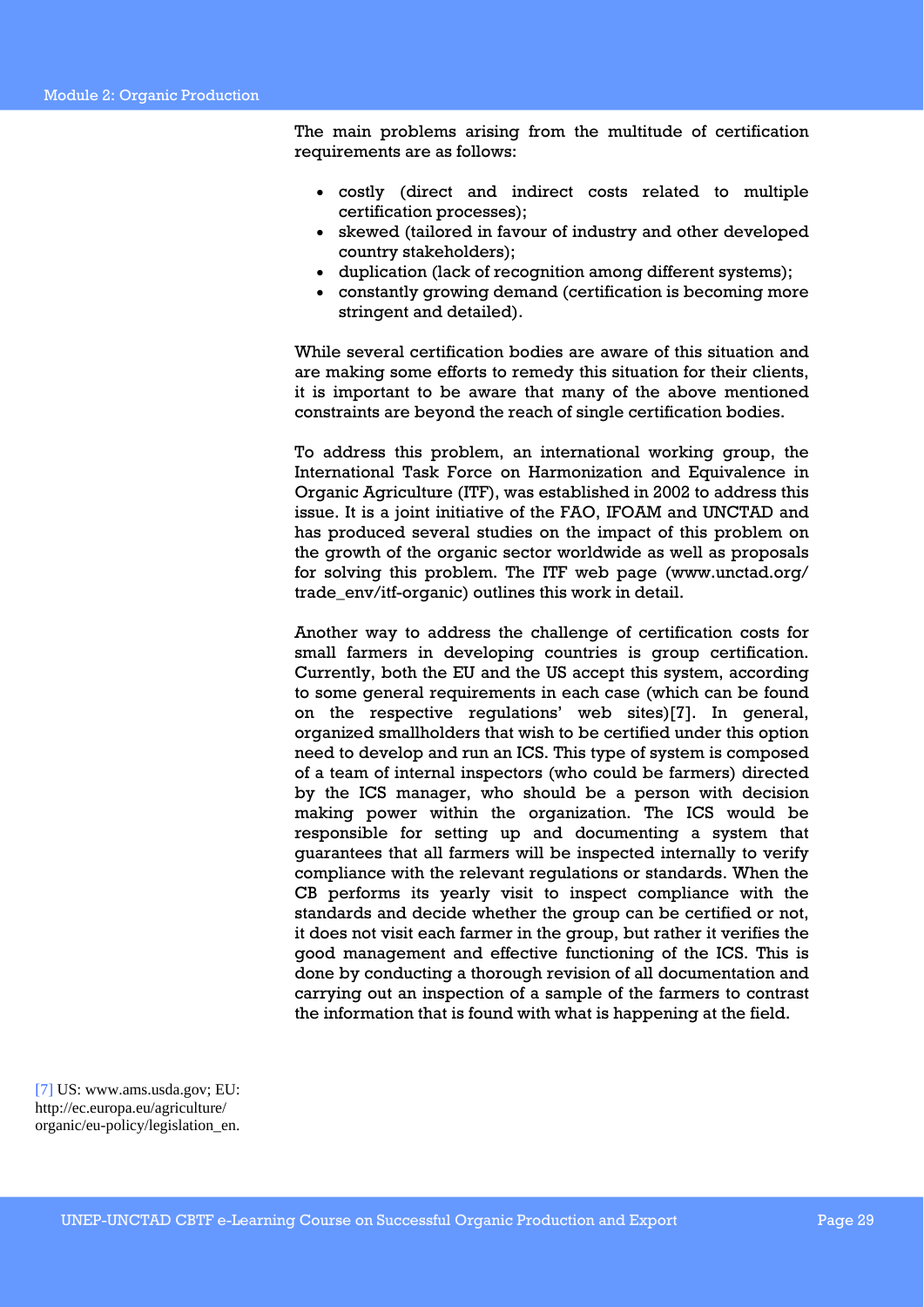The main problems arising from the multitude of certification requirements are as follows:

- costly (direct and indirect costs related to multiple certification processes);
- skewed (tailored in favour of industry and other developed country stakeholders);
- duplication (lack of recognition among different systems);
- constantly growing demand (certification is becoming more stringent and detailed).

While several certification bodies are aware of this situation and are making some efforts to remedy this situation for their clients, it is important to be aware that many of the above mentioned constraints are beyond the reach of single certification bodies.

To address this problem, an international working group, the International Task Force on Harmonization and Equivalence in Organic Agriculture (ITF), was established in 2002 to address this issue. It is a joint initiative of the FAO, IFOAM and UNCTAD and has produced several studies on the impact of this problem on the growth of the organic sector worldwide as well as proposals for solving this problem. The ITF web page (www.unctad.org/ trade\_env/itf-organic) outlines this work in detail.

Another way to address the challenge of certification costs for small farmers in developing countries is group certification. Currently, both the EU and the US accept this system, according to some general requirements in each case (which can be found on the respective regulations' web sites)[7]. In general, organized smallholders that wish to be certified under this option need to develop and run an ICS. This type of system is composed of a team of internal inspectors (who could be farmers) directed by the ICS manager, who should be a person with decision making power within the organization. The ICS would be responsible for setting up and documenting a system that guarantees that all farmers will be inspected internally to verify compliance with the relevant regulations or standards. When the CB performs its yearly visit to inspect compliance with the standards and decide whether the group can be certified or not, it does not visit each farmer in the group, but rather it verifies the good management and effective functioning of the ICS. This is done by conducting a thorough revision of all documentation and carrying out an inspection of a sample of the farmers to contrast the information that is found with what is happening at the field.

[7] US: www.ams.usda.gov; EU: http://ec.europa.eu/agriculture/ organic/eu-policy/legislation\_en.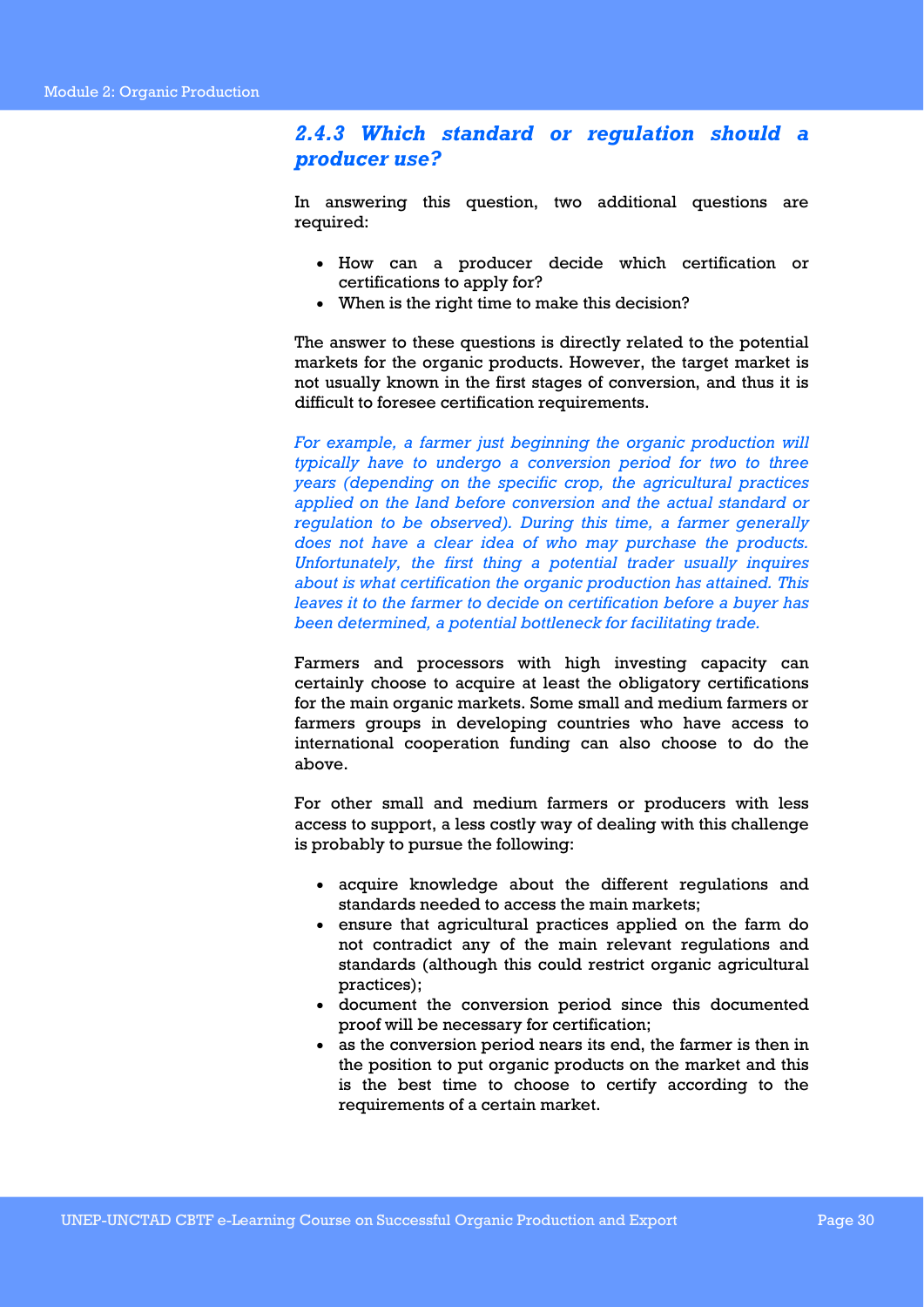### *2.4.3 Which standard or regulation should a producer use?*

In answering this question, two additional questions are required:

- How can a producer decide which certification or certifications to apply for?
- When is the right time to make this decision?

The answer to these questions is directly related to the potential markets for the organic products. However, the target market is not usually known in the first stages of conversion, and thus it is difficult to foresee certification requirements.

*For example, a farmer just beginning the organic production will typically have to undergo a conversion period for two to three years (depending on the specific crop, the agricultural practices*  applied on the land before conversion and the actual standard or *regulation to be observed). During this time, a farmer generally does not have a clear idea of who may purchase the products. Unfortunately, the first thing a potential trader usually inquires about is what certification the organic production has attained. This leaves it to the farmer to decide on certification before a buyer has been determined, a potential bottleneck for facilitating trade.* 

Farmers and processors with high investing capacity can certainly choose to acquire at least the obligatory certifications for the main organic markets. Some small and medium farmers or farmers groups in developing countries who have access to international cooperation funding can also choose to do the above.

For other small and medium farmers or producers with less access to support, a less costly way of dealing with this challenge is probably to pursue the following:

- acquire knowledge about the different regulations and standards needed to access the main markets;
- ensure that agricultural practices applied on the farm do not contradict any of the main relevant regulations and standards (although this could restrict organic agricultural practices);
- document the conversion period since this documented proof will be necessary for certification;
- as the conversion period nears its end, the farmer is then in the position to put organic products on the market and this is the best time to choose to certify according to the requirements of a certain market.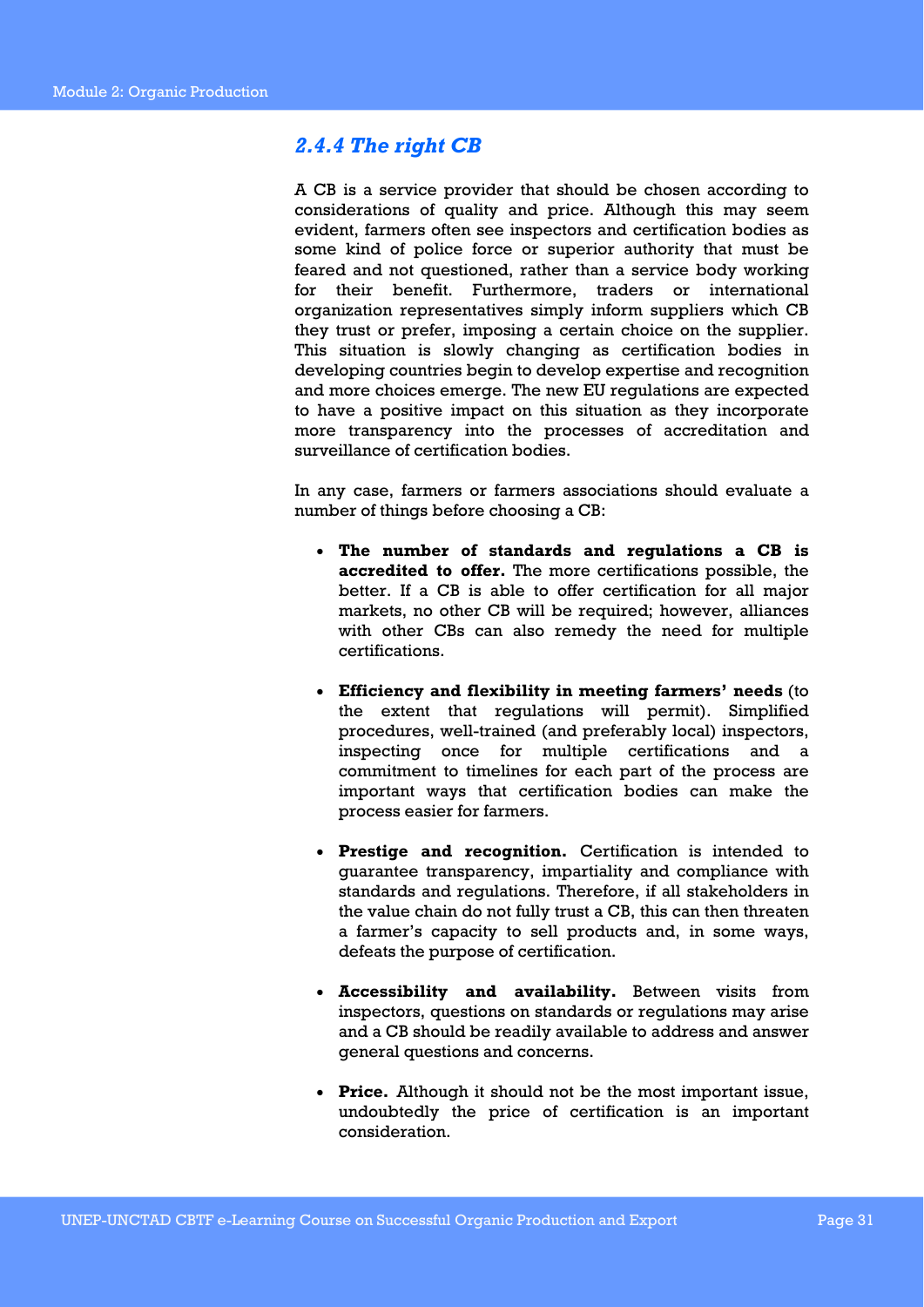### *2.4.4 The right CB*

A CB is a service provider that should be chosen according to considerations of quality and price. Although this may seem evident, farmers often see inspectors and certification bodies as some kind of police force or superior authority that must be feared and not questioned, rather than a service body working for their benefit. Furthermore, traders or international organization representatives simply inform suppliers which CB they trust or prefer, imposing a certain choice on the supplier. This situation is slowly changing as certification bodies in developing countries begin to develop expertise and recognition and more choices emerge. The new EU regulations are expected to have a positive impact on this situation as they incorporate more transparency into the processes of accreditation and surveillance of certification bodies.

In any case, farmers or farmers associations should evaluate a number of things before choosing a CB:

- **The number of standards and regulations a CB is accredited to offer.** The more certifications possible, the better. If a CB is able to offer certification for all major markets, no other CB will be required; however, alliances with other CBs can also remedy the need for multiple certifications.
- **Efficiency and flexibility in meeting farmers' needs** (to the extent that regulations will permit). Simplified procedures, well-trained (and preferably local) inspectors, inspecting once for multiple certifications and a commitment to timelines for each part of the process are important ways that certification bodies can make the process easier for farmers.
- **Prestige and recognition.** Certification is intended to guarantee transparency, impartiality and compliance with standards and regulations. Therefore, if all stakeholders in the value chain do not fully trust a CB, this can then threaten a farmer's capacity to sell products and, in some ways, defeats the purpose of certification.
- **Accessibility and availability.** Between visits from inspectors, questions on standards or regulations may arise and a CB should be readily available to address and answer general questions and concerns.
- **Price.** Although it should not be the most important issue, undoubtedly the price of certification is an important consideration.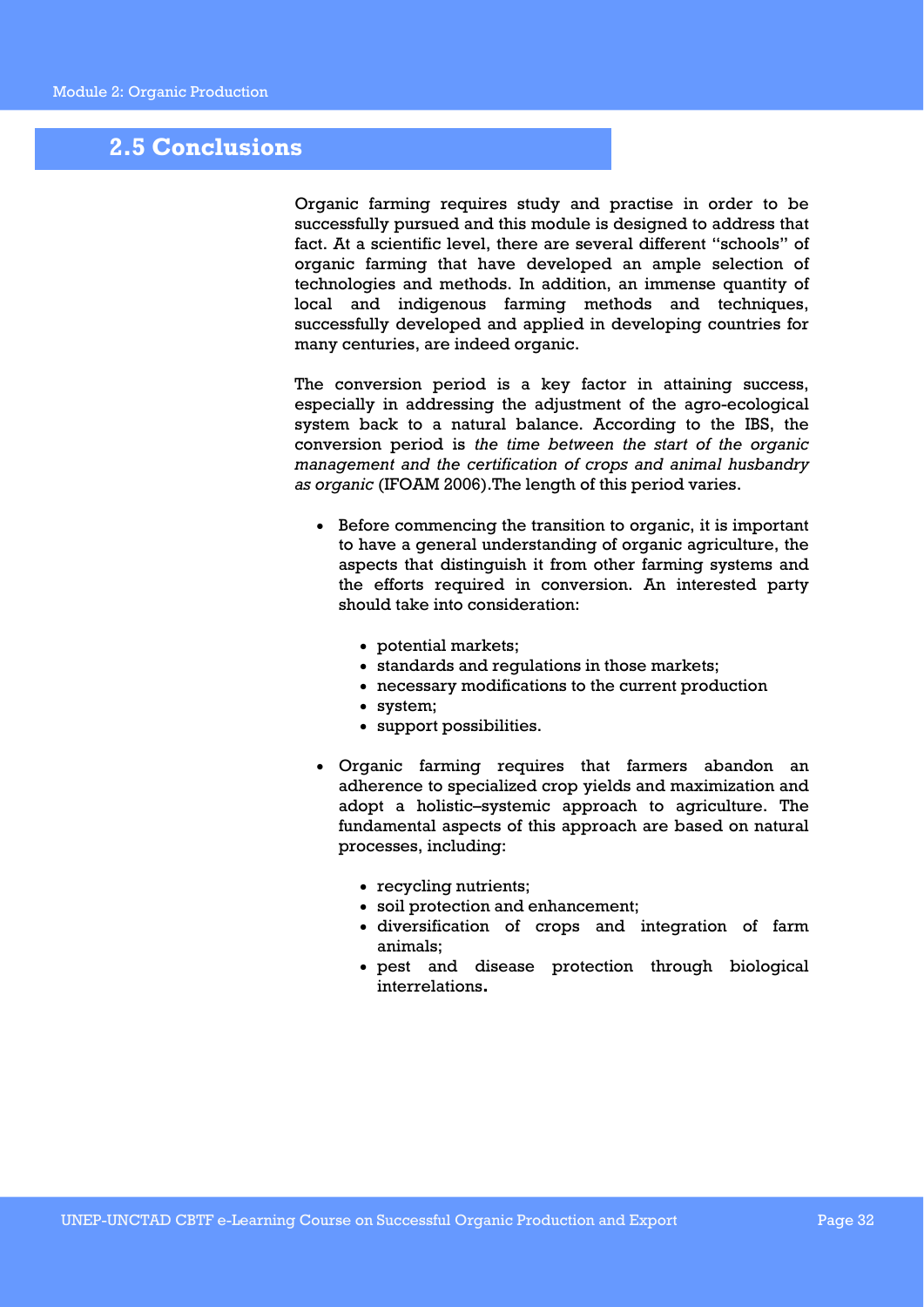### **2.5 Conclusions**

Organic farming requires study and practise in order to be successfully pursued and this module is designed to address that fact. At a scientific level, there are several different "schools" of organic farming that have developed an ample selection of technologies and methods. In addition, an immense quantity of local and indigenous farming methods and techniques, successfully developed and applied in developing countries for many centuries, are indeed organic.

The conversion period is a key factor in attaining success, especially in addressing the adjustment of the agro-ecological system back to a natural balance. According to the IBS, the conversion period is *the time between the start of the organic management and the certification of crops and animal husbandry as organic* (IFOAM 2006).The length of this period varies.

- Before commencing the transition to organic, it is important to have a general understanding of organic agriculture, the aspects that distinguish it from other farming systems and the efforts required in conversion. An interested party should take into consideration:
	- potential markets;
	- standards and regulations in those markets;
	- necessary modifications to the current production
	- system;
	- support possibilities.
- Organic farming requires that farmers abandon an adherence to specialized crop yields and maximization and adopt a holistic–systemic approach to agriculture. The fundamental aspects of this approach are based on natural processes, including:
	- recycling nutrients;
	- soil protection and enhancement;
	- diversification of crops and integration of farm animals;
	- pest and disease protection through biological interrelations**.**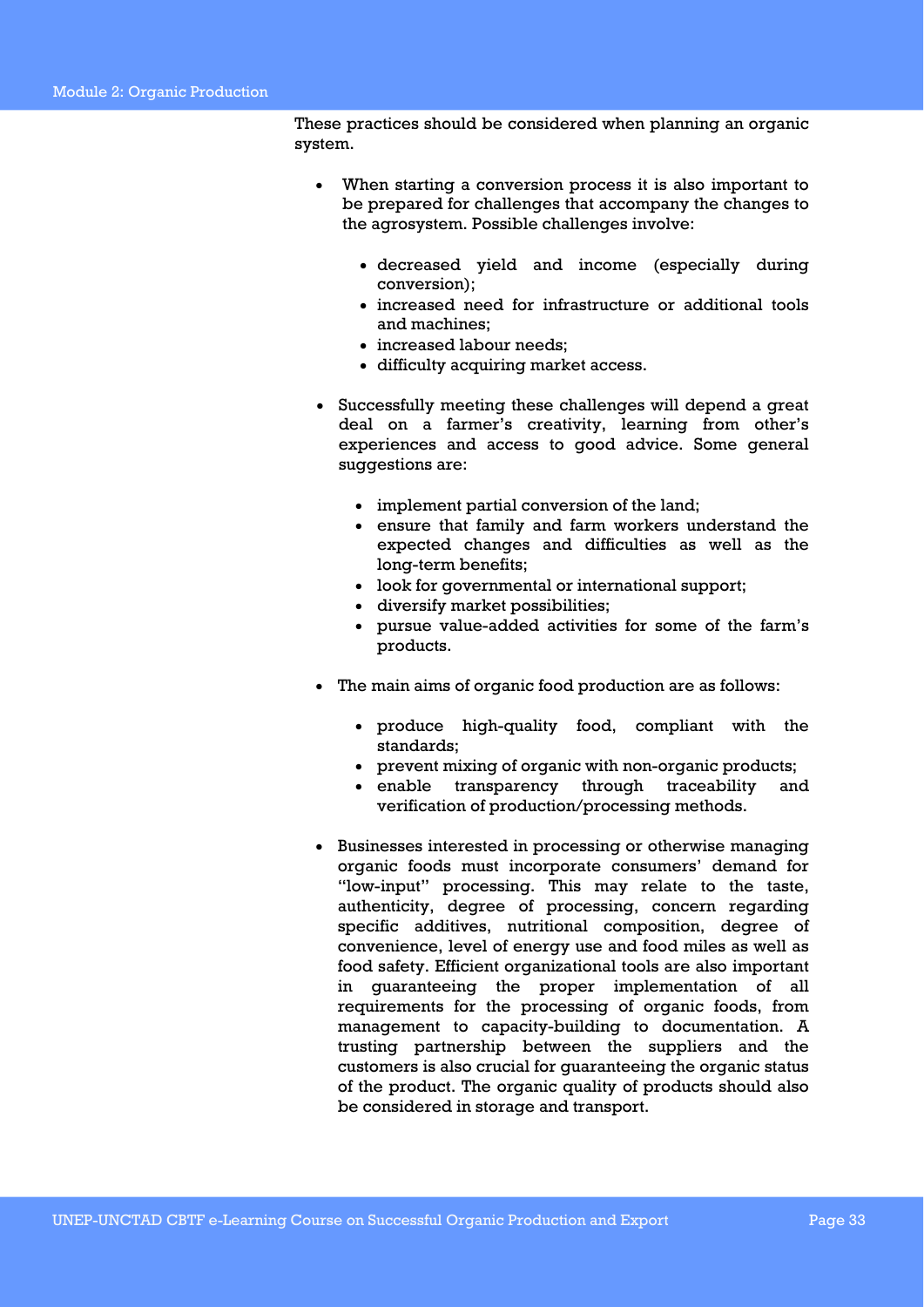These practices should be considered when planning an organic system.

- When starting a conversion process it is also important to be prepared for challenges that accompany the changes to the agrosystem. Possible challenges involve:
	- decreased yield and income (especially during conversion);
	- increased need for infrastructure or additional tools and machines;
	- increased labour needs;
	- difficulty acquiring market access.
- Successfully meeting these challenges will depend a great deal on a farmer's creativity, learning from other's experiences and access to good advice. Some general suggestions are:
	- implement partial conversion of the land;
	- ensure that family and farm workers understand the expected changes and difficulties as well as the long-term benefits;
	- look for governmental or international support;
	- diversify market possibilities;
	- pursue value-added activities for some of the farm's products.
- The main aims of organic food production are as follows:
	- produce high-quality food, compliant with the standards;
	- prevent mixing of organic with non-organic products;
	- enable transparency through traceability and verification of production/processing methods.
- Businesses interested in processing or otherwise managing organic foods must incorporate consumers' demand for "low-input" processing. This may relate to the taste, authenticity, degree of processing, concern regarding specific additives, nutritional composition, degree of convenience, level of energy use and food miles as well as food safety. Efficient organizational tools are also important in guaranteeing the proper implementation of all requirements for the processing of organic foods, from management to capacity-building to documentation. A trusting partnership between the suppliers and the customers is also crucial for guaranteeing the organic status of the product. The organic quality of products should also be considered in storage and transport.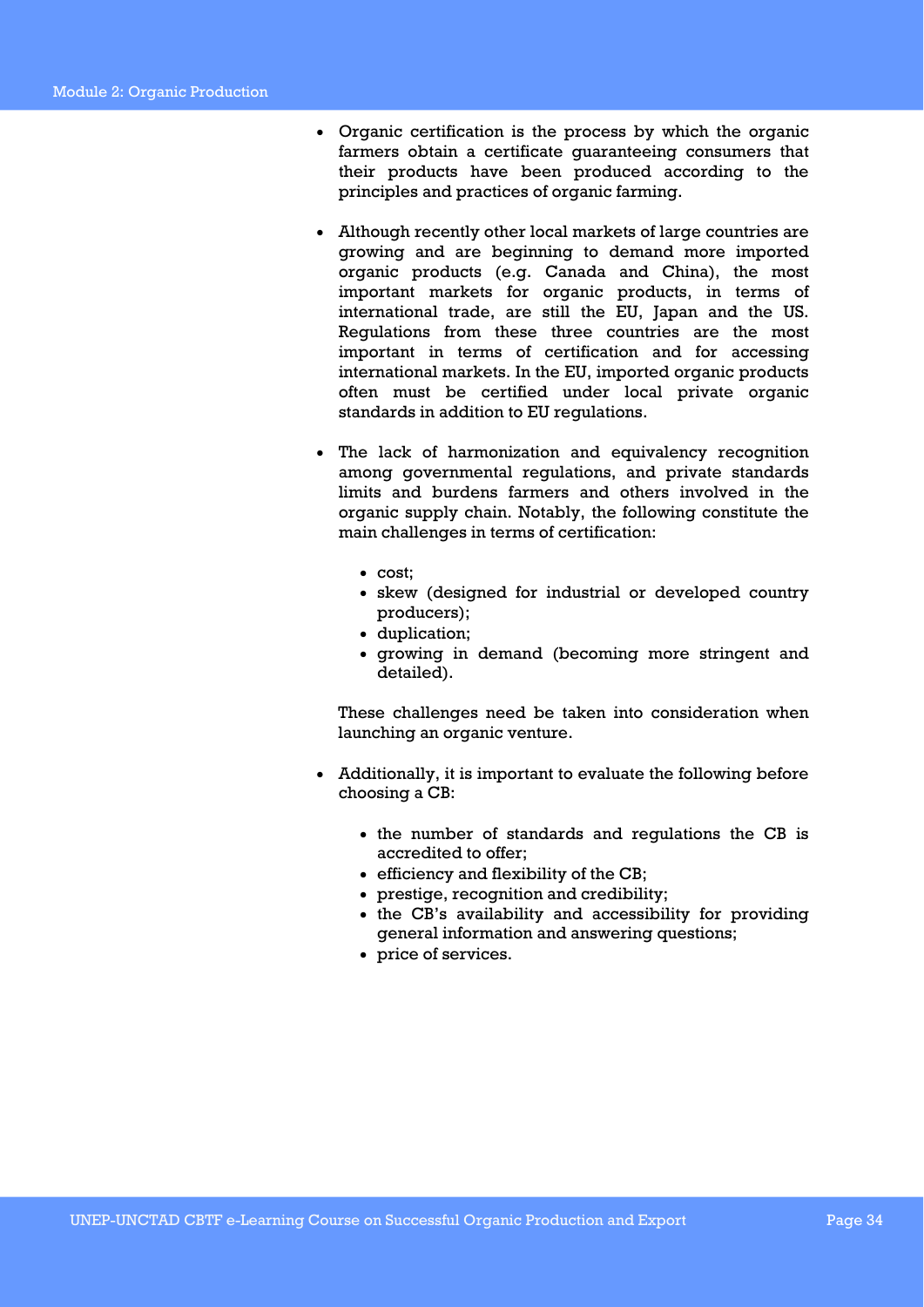- Organic certification is the process by which the organic farmers obtain a certificate guaranteeing consumers that their products have been produced according to the principles and practices of organic farming.
- Although recently other local markets of large countries are growing and are beginning to demand more imported organic products (e.g. Canada and China), the most important markets for organic products, in terms of international trade, are still the EU, Japan and the US. Regulations from these three countries are the most important in terms of certification and for accessing international markets. In the EU, imported organic products often must be certified under local private organic standards in addition to EU regulations.
- The lack of harmonization and equivalency recognition among governmental regulations, and private standards limits and burdens farmers and others involved in the organic supply chain. Notably, the following constitute the main challenges in terms of certification:
	- cost;
	- skew (designed for industrial or developed country producers);
	- duplication;
	- growing in demand (becoming more stringent and detailed).

These challenges need be taken into consideration when launching an organic venture.

- Additionally, it is important to evaluate the following before choosing a CB:
	- the number of standards and regulations the CB is accredited to offer;
	- efficiency and flexibility of the CB;
	- prestige, recognition and credibility;
	- the CB's availability and accessibility for providing general information and answering questions;
	- price of services.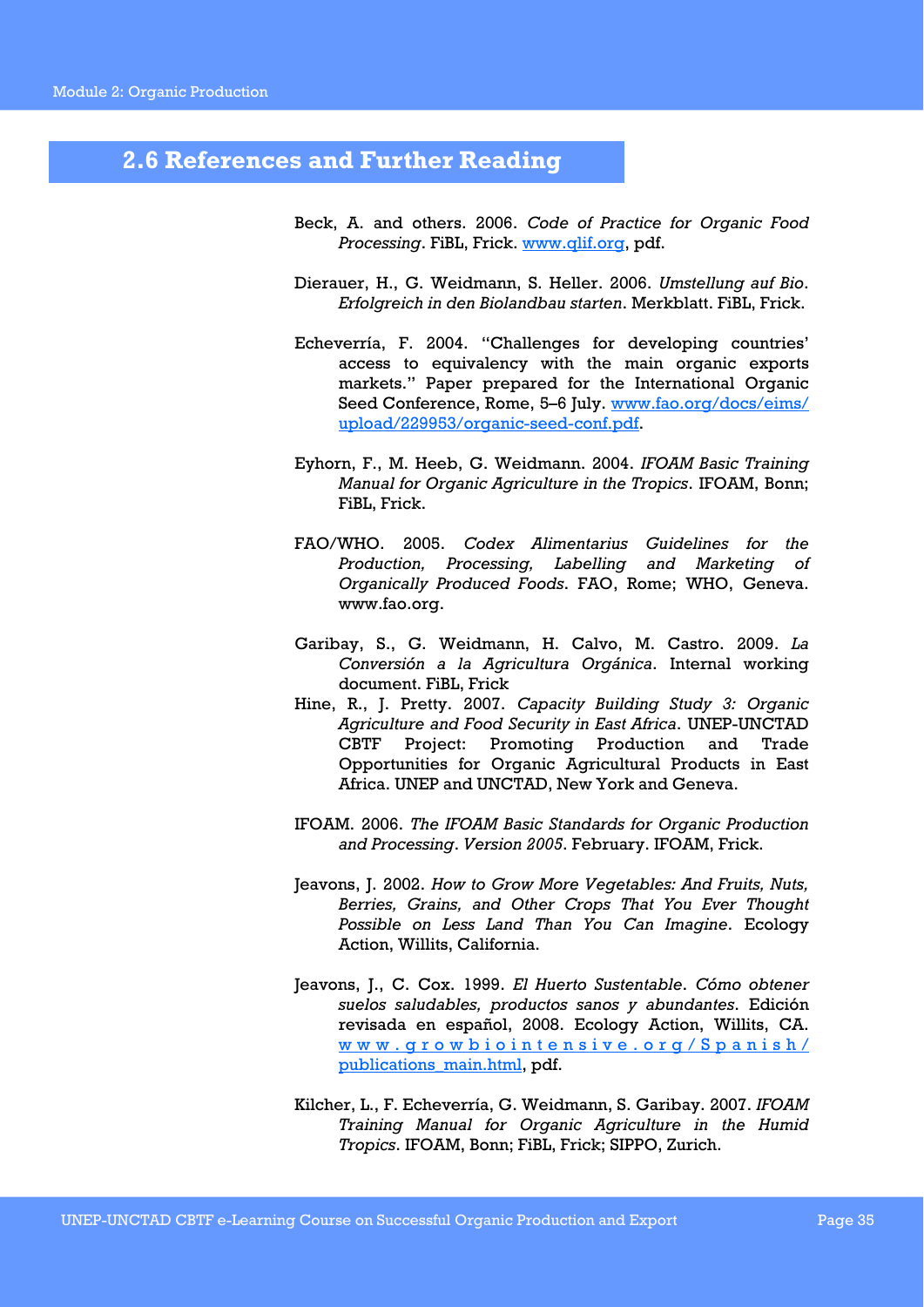### **2.6 References and Further Reading**

- Beck, A. and others. 2006. *Code of Practice for Organic Food Processing*. FiBL, Frick. www.qlif.org, pdf.
- Dierauer, H., G. Weidmann, S. Heller. 2006. *Umstellung auf Bio*. *Erfolgreich in den Biolandbau starten*. Merkblatt. FiBL, Frick.
- Echeverría, F. 2004. "Challenges for developing countries' access to equivalency with the main organic exports markets." Paper prepared for the International Organic Seed Conference, Rome, 5-6 July. www.fao.org/docs/eims/ upload/229953/organic-seed-conf.pdf.
- Eyhorn, F., M. Heeb, G. Weidmann. 2004. *IFOAM Basic Training Manual for Organic Agriculture in the Tropics*. IFOAM, Bonn; FiBL, Frick.
- FAO/WHO. 2005. *Codex Alimentarius Guidelines for the Production, Processing, Labelling and Marketing of Organically Produced Foods*. FAO, Rome; WHO, Geneva. www.fao.org.
- Garibay, S., G. Weidmann, H. Calvo, M. Castro. 2009. *La Conversión a la Agricultura Orgánica*. Internal working document. FiBL, Frick
- Hine, R., J. Pretty. 2007. *Capacity Building Study 3: Organic Agriculture and Food Security in East Africa*. UNEP-UNCTAD CBTF Project: Promoting Production and Trade Opportunities for Organic Agricultural Products in East Africa. UNEP and UNCTAD, New York and Geneva.
- IFOAM. 2006. *The IFOAM Basic Standards for Organic Production and Processing*. *Version 2005*. February. IFOAM, Frick.
- Jeavons, J. 2002. *How to Grow More Vegetables: And Fruits, Nuts, Berries, Grains, and Other Crops That You Ever Thought Possible on Less Land Than You Can Imagine*. Ecology Action, Willits, California.
- Jeavons, J., C. Cox. 1999. *El Huerto Sustentable*. *Cómo obtener suelos saludables, productos sanos y abundantes*. Edición revisada en español, 2008. Ecology Action, Willits, CA. www.growbiointensive.org/Spanish/ publications\_main.html, pdf.
- Kilcher, L., F. Echeverría, G. Weidmann, S. Garibay. 2007. *IFOAM Training Manual for Organic Agriculture in the Humid Tropics*. IFOAM, Bonn; FiBL, Frick; SIPPO, Zurich.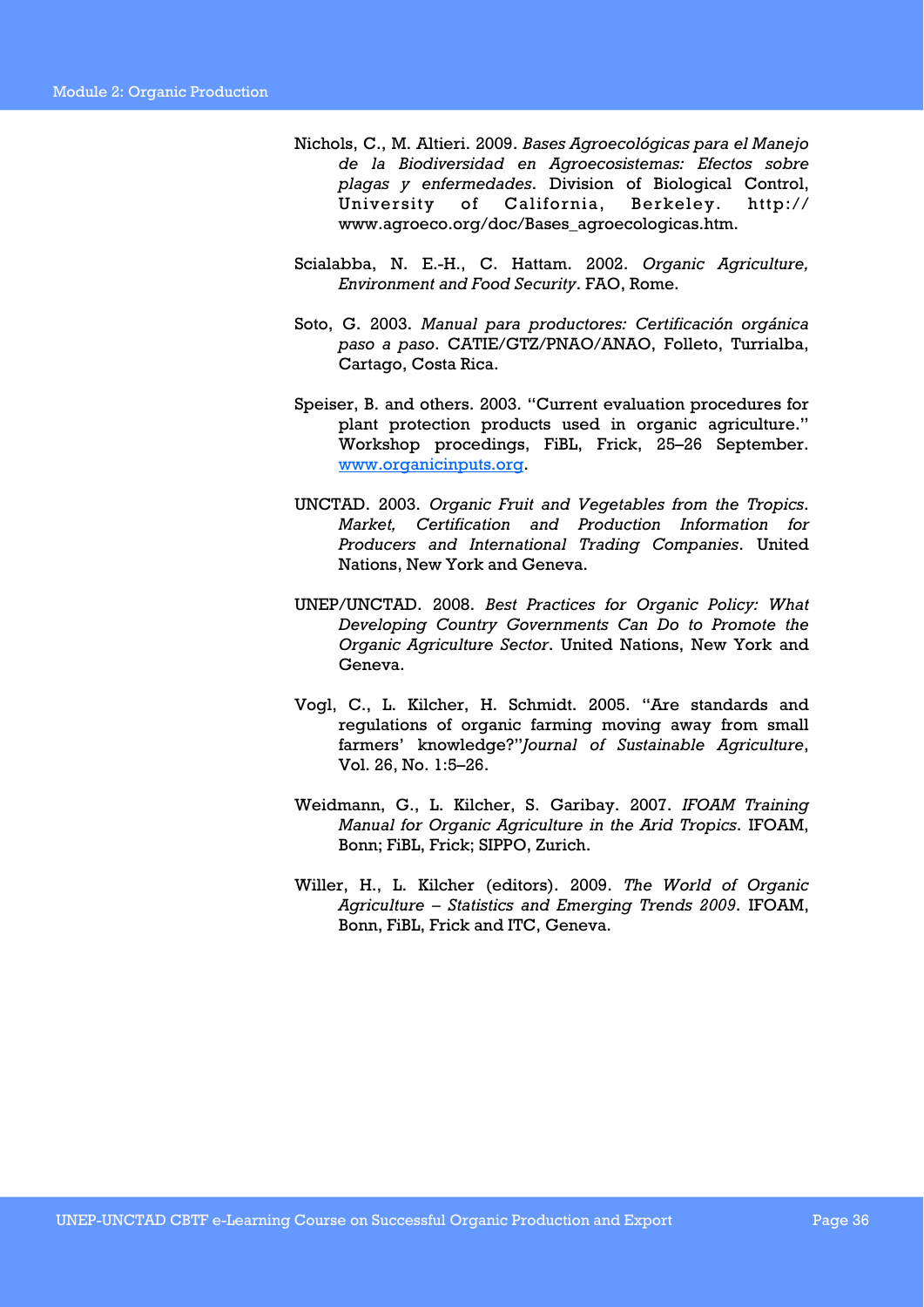- Nichols, C., M. Altieri. 2009. *Bases Agroecológicas para el Manejo de la Biodiversidad en Agroecosistemas: Efectos sobre plagas y enfermedades*. Division of Biological Control, University of California, Berkeley. http:// www.agroeco.org/doc/Bases\_agroecologicas.htm.
- Scialabba, N. E.-H., C. Hattam. 2002. *Organic Agriculture, Environment and Food Security*. FAO, Rome.
- Soto, G. 2003. *Manual para productores: Certificación orgánica paso a paso*. CATIE/GTZ/PNAO/ANAO, Folleto, Turrialba, Cartago, Costa Rica.
- Speiser, B. and others. 2003. "Current evaluation procedures for plant protection products used in organic agriculture." Workshop procedings, FiBL, Frick, 25–26 September. www.organicinputs.org.
- UNCTAD. 2003. *Organic Fruit and Vegetables from the Tropics*. *Market, Certification and Production Information for Producers and International Trading Companies*. United Nations, New York and Geneva.
- UNEP/UNCTAD. 2008. *Best Practices for Organic Policy: What Developing Country Governments Can Do to Promote the Organic Agriculture Sector*. United Nations, New York and Geneva.
- Vogl, C., L. Kilcher, H. Schmidt. 2005. "Are standards and regulations of organic farming moving away from small farmers' knowledge?"*Journal of Sustainable Agriculture*, Vol. 26, No. 1:5–26.
- Weidmann, G., L. Kilcher, S. Garibay. 2007. *IFOAM Training Manual for Organic Agriculture in the Arid Tropics*. IFOAM, Bonn; FiBL, Frick; SIPPO, Zurich.
- Willer, H., L. Kilcher (editors). 2009. *The World of Organic Agriculture – Statistics and Emerging Trends 2009*. IFOAM, Bonn, FiBL, Frick and ITC, Geneva.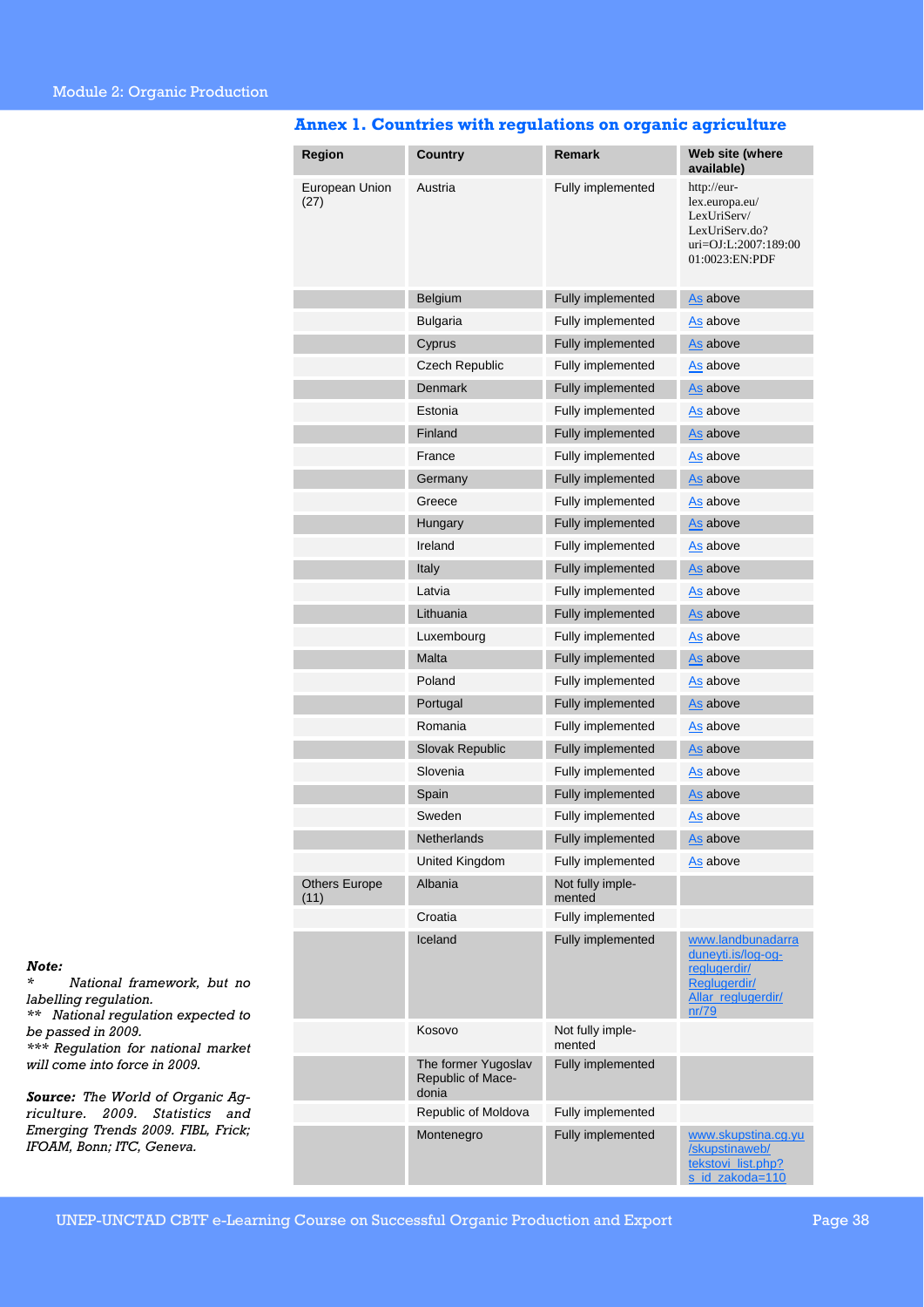| Region                       | Country                                           | Remark                     | Web site (where<br>available)                                                                            |
|------------------------------|---------------------------------------------------|----------------------------|----------------------------------------------------------------------------------------------------------|
| European Union<br>(27)       | Austria                                           | Fully implemented          | http://eur-<br>lex.europa.eu/<br>LexUriServ/<br>LexUriServ.do?<br>uri=OJ:L:2007:189:00<br>01:0023:EN:PDF |
|                              | Belgium                                           | Fully implemented          | As above                                                                                                 |
|                              | Bulgaria                                          | Fully implemented          | As above                                                                                                 |
|                              | Cyprus                                            | Fully implemented          | As above                                                                                                 |
|                              | <b>Czech Republic</b>                             | Fully implemented          | As above                                                                                                 |
|                              | Denmark                                           | Fully implemented          | As above                                                                                                 |
|                              | Estonia                                           | Fully implemented          | As above                                                                                                 |
|                              | Finland                                           | Fully implemented          | As above                                                                                                 |
|                              | France                                            | Fully implemented          | As above                                                                                                 |
|                              | Germany                                           | Fully implemented          | As above                                                                                                 |
|                              | Greece                                            | Fully implemented          | As above                                                                                                 |
|                              | Hungary                                           | Fully implemented          | As above                                                                                                 |
|                              | Ireland                                           | Fully implemented          | As above                                                                                                 |
|                              | Italy                                             | Fully implemented          | As above                                                                                                 |
|                              | Latvia                                            | Fully implemented          | As above                                                                                                 |
|                              | Lithuania                                         | Fully implemented          | As above                                                                                                 |
|                              | Luxembourg                                        | Fully implemented          | As above                                                                                                 |
|                              | Malta                                             | Fully implemented          | As above                                                                                                 |
|                              | Poland                                            | Fully implemented          | As above                                                                                                 |
|                              | Portugal                                          | Fully implemented          | As above                                                                                                 |
|                              | Romania                                           | Fully implemented          | As above                                                                                                 |
|                              | Slovak Republic                                   | Fully implemented          | As above                                                                                                 |
|                              | Slovenia                                          | Fully implemented          | As above                                                                                                 |
|                              | Spain                                             | Fully implemented          | As above                                                                                                 |
|                              | Sweden                                            | Fully implemented          | As above                                                                                                 |
|                              | Netherlands                                       | Fully implemented          | As above                                                                                                 |
|                              | United Kingdom                                    | Fully implemented          | As above                                                                                                 |
| <b>Others Europe</b><br>(11) | Albania                                           | Not fully imple-<br>mented |                                                                                                          |
|                              | Croatia                                           | Fully implemented          |                                                                                                          |
|                              | Iceland                                           | Fully implemented          | www.landbunadarra<br>duneyti.is/log-og-<br>reglugerdir/<br>Reglugerdir/<br>Allar reglugerdir/<br>nr/79   |
|                              | Kosovo                                            | Not fully imple-<br>mented |                                                                                                          |
|                              | The former Yugoslav<br>Republic of Mace-<br>donia | Fully implemented          |                                                                                                          |
|                              | Republic of Moldova                               | Fully implemented          |                                                                                                          |
|                              | Montenegro                                        | Fully implemented          | www.skupstina.cg.yu<br>/skupstinaweb/<br>tekstovi_list.php?<br>s id zakoda=110                           |

### **Annex 1. Countries with regulations on organic agriculture**

*Note:* 

*\* National framework, but no labelling regulation. \*\* National regulation expected to* 

*be passed in 2009. \*\*\* Regulation for national market will come into force in 2009.* 

*Source: The World of Organic Agriculture. 2009. Statistics and Emerging Trends 2009. FIBL, Frick;* 

*IFOAM, Bonn; ITC, Geneva.*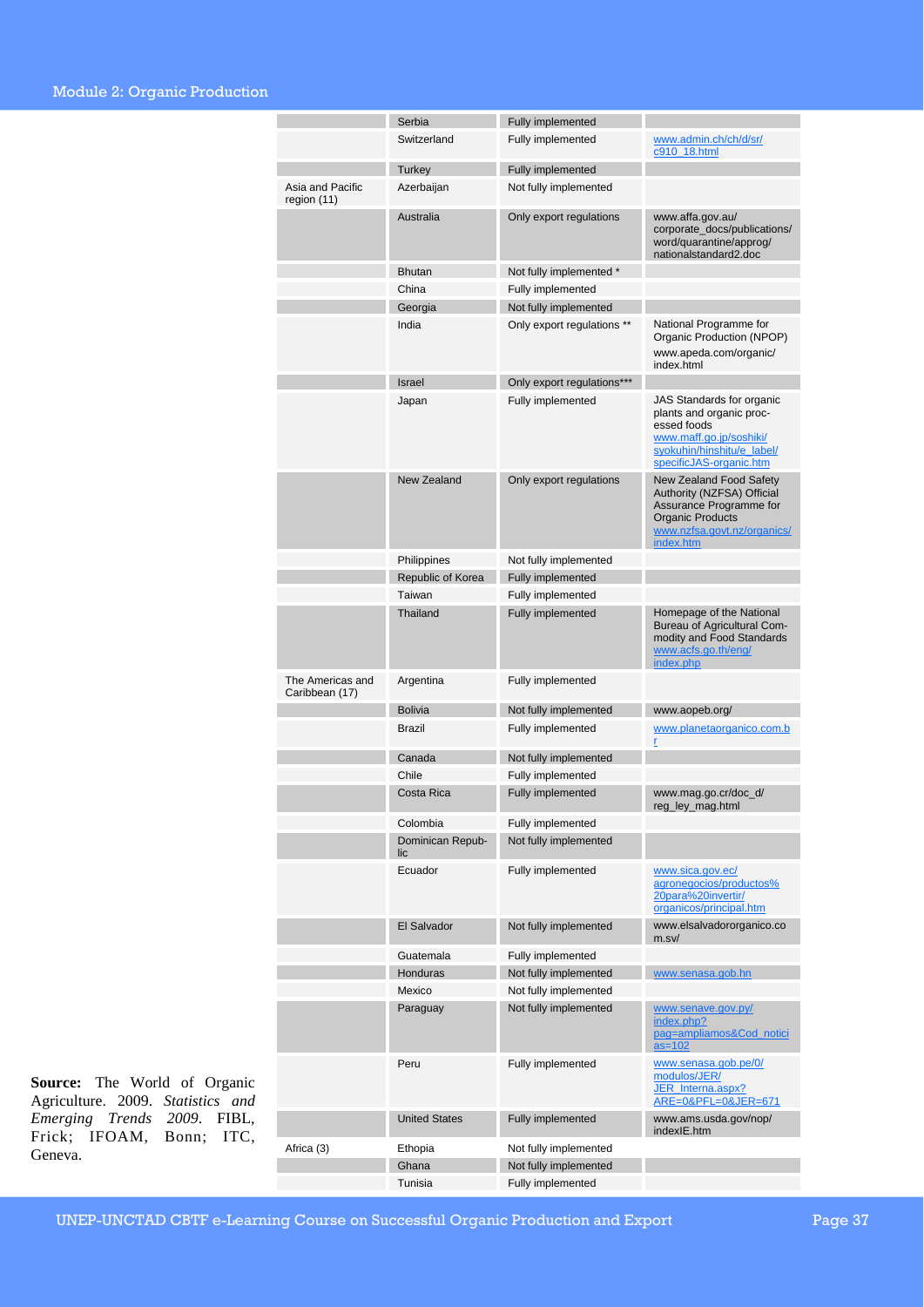### Module 2: Organic Production

|                                    | Serbia                  | Fully implemented          |                                                                                                                                                         |
|------------------------------------|-------------------------|----------------------------|---------------------------------------------------------------------------------------------------------------------------------------------------------|
|                                    | Switzerland             | Fully implemented          | www.admin.ch/ch/d/sr/                                                                                                                                   |
|                                    |                         |                            | c910 18.html                                                                                                                                            |
|                                    | <b>Turkey</b>           | Fully implemented          |                                                                                                                                                         |
| Asia and Pacific                   | Azerbaijan              | Not fully implemented      |                                                                                                                                                         |
| region (11)                        | Australia               |                            |                                                                                                                                                         |
|                                    |                         | Only export regulations    | www.affa.gov.au/<br>corporate_docs/publications/<br>word/quarantine/approg/<br>nationalstandard2.doc                                                    |
|                                    | <b>Bhutan</b>           | Not fully implemented *    |                                                                                                                                                         |
|                                    | China                   | Fully implemented          |                                                                                                                                                         |
|                                    | Georgia                 | Not fully implemented      |                                                                                                                                                         |
|                                    | India                   | Only export regulations ** | National Programme for                                                                                                                                  |
|                                    |                         |                            | Organic Production (NPOP)<br>www.apeda.com/organic/<br>index.html                                                                                       |
|                                    | <b>Israel</b>           | Only export regulations*** |                                                                                                                                                         |
|                                    | Japan                   | Fully implemented          | JAS Standards for organic<br>plants and organic proc-<br>essed foods<br>www.maff.go.jp/soshiki/<br>syokuhin/hinshitu/e label/                           |
|                                    |                         |                            | specificJAS-organic.htm                                                                                                                                 |
|                                    | <b>New Zealand</b>      | Only export regulations    | New Zealand Food Safety<br>Authority (NZFSA) Official<br>Assurance Programme for<br><b>Organic Products</b><br>www.nzfsa.govt.nz/organics/<br>index.htm |
|                                    | Philippines             | Not fully implemented      |                                                                                                                                                         |
|                                    | Republic of Korea       | Fully implemented          |                                                                                                                                                         |
|                                    | Taiwan                  | Fully implemented          |                                                                                                                                                         |
|                                    | <b>Thailand</b>         | Fully implemented          | Homepage of the National<br>Bureau of Agricultural Com-<br>modity and Food Standards<br>www.acfs.go.th/eng/<br>index.php                                |
| The Americas and<br>Caribbean (17) | Argentina               | Fully implemented          |                                                                                                                                                         |
|                                    | <b>Bolivia</b>          | Not fully implemented      | www.aopeb.org/                                                                                                                                          |
|                                    | Brazil                  | Fully implemented          | www.planetaorganico.com.b<br>r                                                                                                                          |
|                                    | Canada                  | Not fully implemented      |                                                                                                                                                         |
|                                    | Chile                   | Fully implemented          |                                                                                                                                                         |
|                                    | Costa Rica              | Fully implemented          | www.mag.go.cr/doc_d/<br>reg_ley_mag.html                                                                                                                |
|                                    | Colombia                | Fully implemented          |                                                                                                                                                         |
|                                    | Dominican Repub-<br>lic | Not fully implemented      |                                                                                                                                                         |
|                                    | Ecuador                 | Fully implemented          | www.sica.gov.ec/<br>agronegocios/productos%<br>20para%20invertir/<br>organicos/principal.htm                                                            |
|                                    | El Salvador             | Not fully implemented      | www.elsalvadororganico.co<br>m.sv/                                                                                                                      |
|                                    | Guatemala               | Fully implemented          |                                                                                                                                                         |
|                                    | Honduras                | Not fully implemented      | www.senasa.gob.hn                                                                                                                                       |
|                                    | Mexico                  | Not fully implemented      |                                                                                                                                                         |
|                                    | Paraguay                | Not fully implemented      | www.senave.gov.py/<br>index.php?<br>pag=ampliamos&Cod_notici<br>$as=102$                                                                                |
|                                    | Peru                    | Fully implemented          | www.senasa.gob.pe/0/<br>modulos/JER/<br>JER_Interna.aspx?<br>ARE=0&PFL=0&JER=671                                                                        |
|                                    | <b>United States</b>    | Fully implemented          | www.ams.usda.gov/nop/<br>indexIE.htm                                                                                                                    |
| Africa (3)                         | Ethopia                 | Not fully implemented      |                                                                                                                                                         |
|                                    | Ghana                   | Not fully implemented      |                                                                                                                                                         |
|                                    | Tunisia                 | Fully implemented          |                                                                                                                                                         |

**Source:** The World of Organic Agriculture. 2009. *Statistics and Emerging Trends 2009*. FIBL, Frick; IFOAM, Bonn; ITC, Geneva.